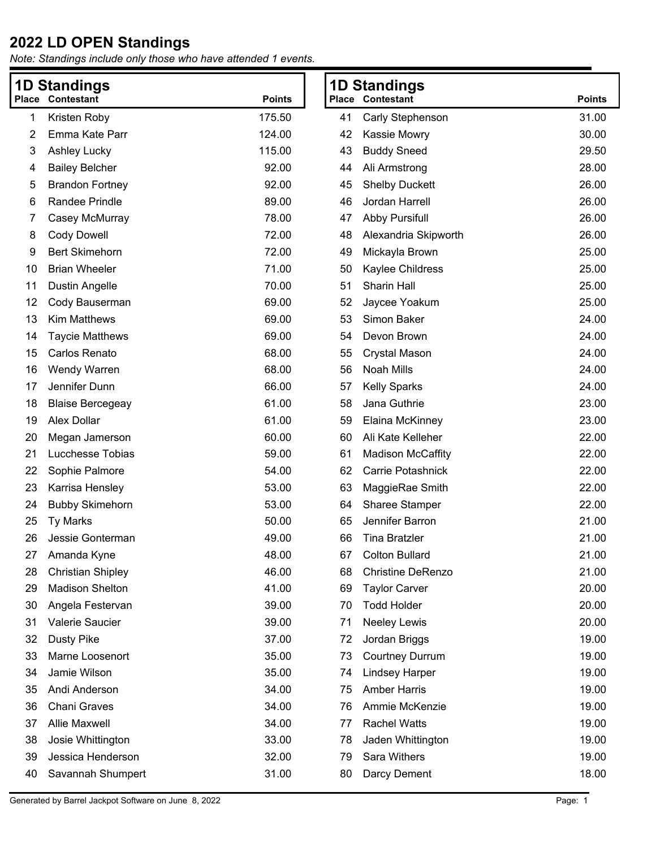|    | <b>1D Standings</b>      |               |    | <b>1D Standings</b>      |               |
|----|--------------------------|---------------|----|--------------------------|---------------|
|    | <b>Place Contestant</b>  | <b>Points</b> |    | <b>Place Contestant</b>  | <b>Points</b> |
| 1  | Kristen Roby             | 175.50        | 41 | Carly Stephenson         | 31.00         |
| 2  | Emma Kate Parr           | 124.00        | 42 | Kassie Mowry             | 30.00         |
| 3  | <b>Ashley Lucky</b>      | 115.00        | 43 | <b>Buddy Sneed</b>       | 29.50         |
| 4  | <b>Bailey Belcher</b>    | 92.00         | 44 | Ali Armstrong            | 28.00         |
| 5  | <b>Brandon Fortney</b>   | 92.00         | 45 | <b>Shelby Duckett</b>    | 26.00         |
| 6  | <b>Randee Prindle</b>    | 89.00         | 46 | Jordan Harrell           | 26.00         |
| 7  | Casey McMurray           | 78.00         | 47 | <b>Abby Pursifull</b>    | 26.00         |
| 8  | <b>Cody Dowell</b>       | 72.00         | 48 | Alexandria Skipworth     | 26.00         |
| 9  | <b>Bert Skimehorn</b>    | 72.00         | 49 | Mickayla Brown           | 25.00         |
| 10 | <b>Brian Wheeler</b>     | 71.00         | 50 | Kaylee Childress         | 25.00         |
| 11 | Dustin Angelle           | 70.00         | 51 | Sharin Hall              | 25.00         |
| 12 | Cody Bauserman           | 69.00         | 52 | Jaycee Yoakum            | 25.00         |
| 13 | <b>Kim Matthews</b>      | 69.00         | 53 | Simon Baker              | 24.00         |
| 14 | <b>Taycie Matthews</b>   | 69.00         | 54 | Devon Brown              | 24.00         |
| 15 | Carlos Renato            | 68.00         | 55 | <b>Crystal Mason</b>     | 24.00         |
| 16 | <b>Wendy Warren</b>      | 68.00         | 56 | <b>Noah Mills</b>        | 24.00         |
| 17 | Jennifer Dunn            | 66.00         | 57 | <b>Kelly Sparks</b>      | 24.00         |
| 18 | <b>Blaise Bercegeay</b>  | 61.00         | 58 | Jana Guthrie             | 23.00         |
| 19 | Alex Dollar              | 61.00         | 59 | Elaina McKinney          | 23.00         |
| 20 | Megan Jamerson           | 60.00         | 60 | Ali Kate Kelleher        | 22.00         |
| 21 | Lucchesse Tobias         | 59.00         | 61 | <b>Madison McCaffity</b> | 22.00         |
| 22 | Sophie Palmore           | 54.00         | 62 | Carrie Potashnick        | 22.00         |
| 23 | Karrisa Hensley          | 53.00         | 63 | MaggieRae Smith          | 22.00         |
| 24 | <b>Bubby Skimehorn</b>   | 53.00         | 64 | <b>Sharee Stamper</b>    | 22.00         |
| 25 | <b>Ty Marks</b>          | 50.00         | 65 | Jennifer Barron          | 21.00         |
| 26 | Jessie Gonterman         | 49.00         | 66 | <b>Tina Bratzler</b>     | 21.00         |
| 27 | Amanda Kyne              | 48.00         | 67 | <b>Colton Bullard</b>    | 21.00         |
| 28 | <b>Christian Shipley</b> | 46.00         | 68 | <b>Christine DeRenzo</b> | 21.00         |
| 29 | <b>Madison Shelton</b>   | 41.00         | 69 | <b>Taylor Carver</b>     | 20.00         |
| 30 | Angela Festervan         | 39.00         | 70 | <b>Todd Holder</b>       | 20.00         |
| 31 | Valerie Saucier          | 39.00         | 71 | <b>Neeley Lewis</b>      | 20.00         |
| 32 | <b>Dusty Pike</b>        | 37.00         | 72 | Jordan Briggs            | 19.00         |
| 33 | Marne Loosenort          | 35.00         | 73 | <b>Courtney Durrum</b>   | 19.00         |
| 34 | Jamie Wilson             | 35.00         | 74 | <b>Lindsey Harper</b>    | 19.00         |
| 35 | Andi Anderson            | 34.00         | 75 | <b>Amber Harris</b>      | 19.00         |
| 36 | <b>Chani Graves</b>      | 34.00         | 76 | Ammie McKenzie           | 19.00         |
| 37 | <b>Allie Maxwell</b>     | 34.00         | 77 | <b>Rachel Watts</b>      | 19.00         |
| 38 | Josie Whittington        | 33.00         | 78 | Jaden Whittington        | 19.00         |
| 39 | Jessica Henderson        | 32.00         | 79 | Sara Withers             | 19.00         |
| 40 | Savannah Shumpert        | 31.00         | 80 | Darcy Dement             | 18.00         |
|    |                          |               |    |                          |               |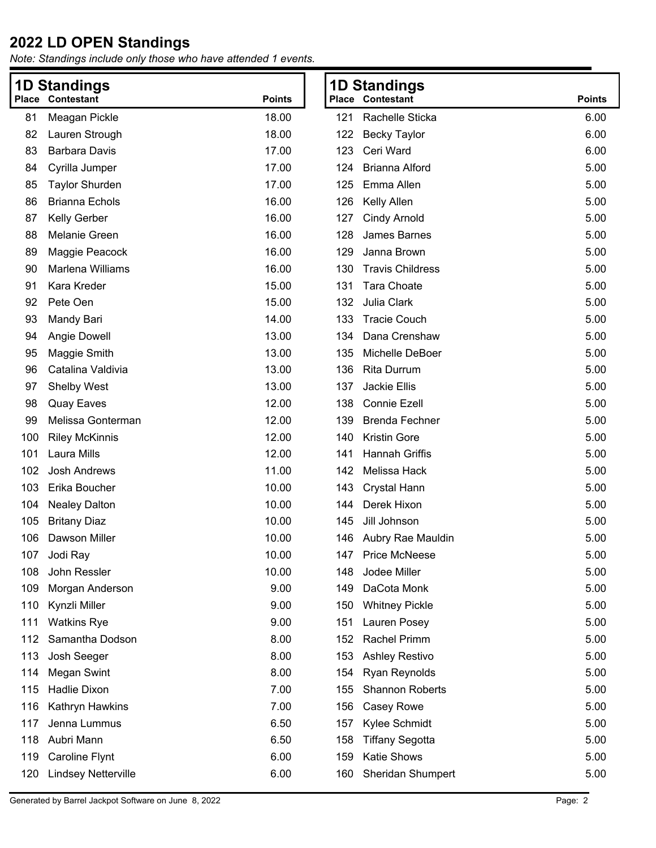*Note: Standings include only those who have attended 1 events.*

| <b>1D Standings</b> |                            | <b>1D Standings</b> |                         |                          |               |
|---------------------|----------------------------|---------------------|-------------------------|--------------------------|---------------|
|                     | <b>Place Contestant</b>    | <b>Points</b>       | <b>Place Contestant</b> |                          | <b>Points</b> |
| 81                  | Meagan Pickle              | 18.00               | 121                     | Rachelle Sticka          | 6.00          |
| 82                  | Lauren Strough             | 18.00               | 122                     | <b>Becky Taylor</b>      | 6.00          |
| 83                  | <b>Barbara Davis</b>       | 17.00               | Ceri Ward<br>123        |                          | 6.00          |
| 84                  | Cyrilla Jumper             | 17.00               | 124                     | <b>Brianna Alford</b>    | 5.00          |
| 85                  | <b>Taylor Shurden</b>      | 17.00               | 125                     | Emma Allen               | 5.00          |
| 86                  | <b>Brianna Echols</b>      | 16.00               | Kelly Allen<br>126      |                          | 5.00          |
| 87                  | Kelly Gerber               | 16.00               | 127                     | <b>Cindy Arnold</b>      | 5.00          |
| 88                  | Melanie Green              | 16.00               | 128                     | James Barnes             | 5.00          |
| 89                  | Maggie Peacock             | 16.00               | 129                     | Janna Brown              | 5.00          |
| 90                  | Marlena Williams           | 16.00               | 130                     | <b>Travis Childress</b>  | 5.00          |
| 91                  | Kara Kreder                | 15.00               | 131                     | <b>Tara Choate</b>       | 5.00          |
| 92                  | Pete Oen                   | 15.00               | Julia Clark<br>132      |                          | 5.00          |
| 93                  | Mandy Bari                 | 14.00               | 133                     | <b>Tracie Couch</b>      | 5.00          |
| 94                  | Angie Dowell               | 13.00               | 134                     | Dana Crenshaw            | 5.00          |
| 95                  | Maggie Smith               | 13.00               | 135                     | Michelle DeBoer          | 5.00          |
| 96                  | Catalina Valdivia          | 13.00               | 136                     | <b>Rita Durrum</b>       | 5.00          |
| 97                  | <b>Shelby West</b>         | 13.00               | 137<br>Jackie Ellis     |                          | 5.00          |
| 98                  | <b>Quay Eaves</b>          | 12.00               | 138                     | <b>Connie Ezell</b>      | 5.00          |
| 99                  | Melissa Gonterman          | 12.00               | 139                     | <b>Brenda Fechner</b>    | 5.00          |
| 100                 | <b>Riley McKinnis</b>      | 12.00               | 140                     | <b>Kristin Gore</b>      | 5.00          |
| 101                 | Laura Mills                | 12.00               | 141                     | Hannah Griffis           | 5.00          |
| 102                 | <b>Josh Andrews</b>        | 11.00               | 142                     | Melissa Hack             | 5.00          |
| 103                 | Erika Boucher              | 10.00               | 143                     | <b>Crystal Hann</b>      | 5.00          |
| 104                 | <b>Nealey Dalton</b>       | 10.00               | 144                     | Derek Hixon              | 5.00          |
| 105                 | <b>Britany Diaz</b>        | 10.00               | 145                     | Jill Johnson             | 5.00          |
| 106                 | Dawson Miller              | 10.00               |                         | 146 Aubry Rae Mauldin    | 5.00          |
| 107                 | Jodi Ray                   | 10.00               | 147                     | <b>Price McNeese</b>     | 5.00          |
| 108                 | John Ressler               | 10.00               | 148                     | Jodee Miller             | 5.00          |
| 109                 | Morgan Anderson            | 9.00                | 149                     | DaCota Monk              | 5.00          |
| 110                 | Kynzli Miller              | 9.00                | 150                     | <b>Whitney Pickle</b>    | 5.00          |
| 111                 | <b>Watkins Rye</b>         | 9.00                | 151                     | Lauren Posey             | 5.00          |
| 112                 | Samantha Dodson            | 8.00                | 152                     | <b>Rachel Primm</b>      | 5.00          |
| 113                 | Josh Seeger                | 8.00                | 153                     | <b>Ashley Restivo</b>    | 5.00          |
| 114                 | Megan Swint                | 8.00                | 154                     | Ryan Reynolds            | 5.00          |
| 115                 | <b>Hadlie Dixon</b>        | 7.00                | 155                     | Shannon Roberts          | 5.00          |
| 116                 | Kathryn Hawkins            | 7.00                | 156                     | Casey Rowe               | 5.00          |
| 117                 | Jenna Lummus               | 6.50                | 157                     | Kylee Schmidt            | 5.00          |
| 118                 | Aubri Mann                 | 6.50                | 158                     | <b>Tiffany Segotta</b>   | 5.00          |
| 119                 | Caroline Flynt             | 6.00                | 159                     | <b>Katie Shows</b>       | 5.00          |
| 120                 | <b>Lindsey Netterville</b> | 6.00                | 160                     | <b>Sheridan Shumpert</b> | 5.00          |

Generated by Barrel Jackpot Software on June 8, 2022 Page: 2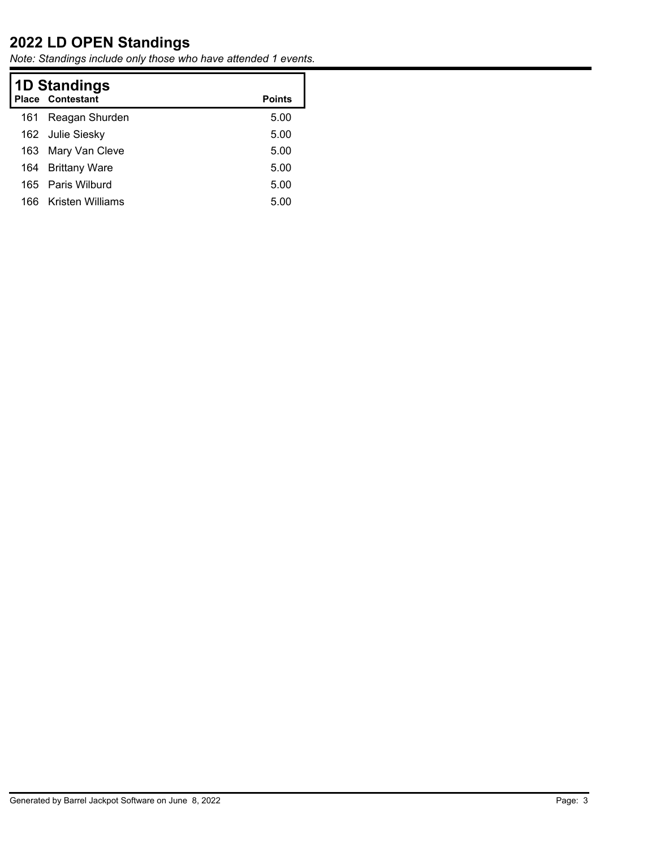| <b>1D Standings</b><br><b>Place Contestant</b><br><b>Points</b> |                   |      |  |  |  |
|-----------------------------------------------------------------|-------------------|------|--|--|--|
| 161                                                             | Reagan Shurden    | 5.00 |  |  |  |
|                                                                 | 162 Julie Siesky  | 5.00 |  |  |  |
| 163.                                                            | Mary Van Cleve    | 5.00 |  |  |  |
| 164                                                             | Brittany Ware     | 5.00 |  |  |  |
|                                                                 | 165 Paris Wilburd | 5.00 |  |  |  |
| 166                                                             | Kristen Williams  | 5.00 |  |  |  |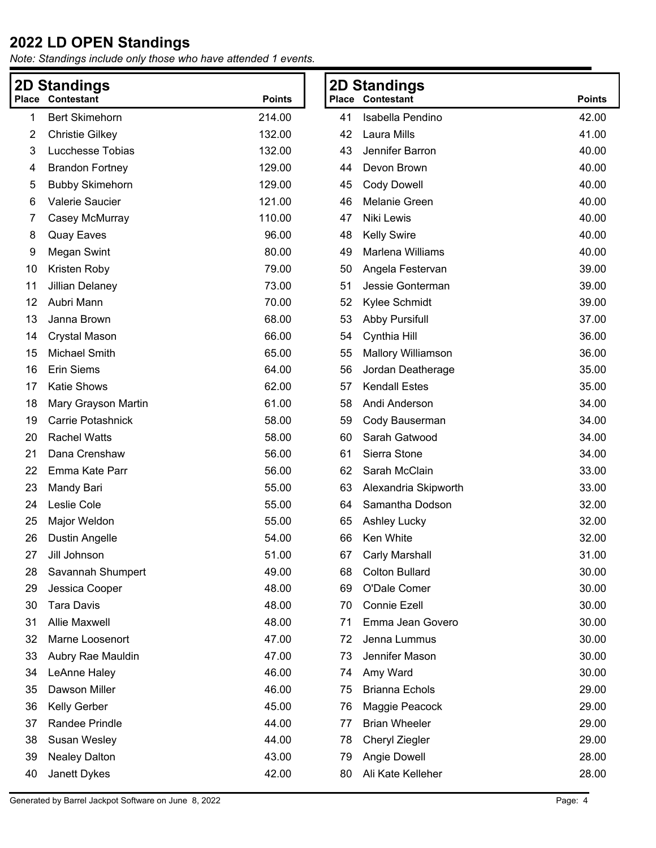| <b>2D Standings</b> |                          |               | <b>2D Standings</b> |                           |               |
|---------------------|--------------------------|---------------|---------------------|---------------------------|---------------|
| Place               | <b>Contestant</b>        | <b>Points</b> |                     | Place Contestant          | <b>Points</b> |
| 1                   | <b>Bert Skimehorn</b>    | 214.00        | 41                  | Isabella Pendino          | 42.00         |
| 2                   | <b>Christie Gilkey</b>   | 132.00        | 42                  | Laura Mills               | 41.00         |
| 3                   | Lucchesse Tobias         | 132.00        | 43                  | Jennifer Barron           | 40.00         |
| 4                   | <b>Brandon Fortney</b>   | 129.00        | 44                  | Devon Brown               | 40.00         |
| 5                   | <b>Bubby Skimehorn</b>   | 129.00        | 45                  | <b>Cody Dowell</b>        | 40.00         |
| 6                   | Valerie Saucier          | 121.00        | 46                  | <b>Melanie Green</b>      | 40.00         |
| 7                   | Casey McMurray           | 110.00        | 47                  | Niki Lewis                | 40.00         |
| 8                   | <b>Quay Eaves</b>        | 96.00         | 48                  | <b>Kelly Swire</b>        | 40.00         |
| 9                   | <b>Megan Swint</b>       | 80.00         | 49                  | Marlena Williams          | 40.00         |
| 10                  | Kristen Roby             | 79.00         | 50                  | Angela Festervan          | 39.00         |
| 11                  | <b>Jillian Delaney</b>   | 73.00         | 51                  | Jessie Gonterman          | 39.00         |
| 12                  | Aubri Mann               | 70.00         | 52                  | Kylee Schmidt             | 39.00         |
| 13                  | Janna Brown              | 68.00         | 53                  | <b>Abby Pursifull</b>     | 37.00         |
| 14                  | <b>Crystal Mason</b>     | 66.00         | 54                  | Cynthia Hill              | 36.00         |
| 15                  | Michael Smith            | 65.00         | 55                  | <b>Mallory Williamson</b> | 36.00         |
| 16                  | <b>Erin Siems</b>        | 64.00         | 56                  | Jordan Deatherage         | 35.00         |
| 17                  | Katie Shows              | 62.00         | 57                  | <b>Kendall Estes</b>      | 35.00         |
| 18                  | Mary Grayson Martin      | 61.00         | 58                  | Andi Anderson             | 34.00         |
| 19                  | <b>Carrie Potashnick</b> | 58.00         | 59                  | Cody Bauserman            | 34.00         |
| 20                  | <b>Rachel Watts</b>      | 58.00         | 60                  | Sarah Gatwood             | 34.00         |
| 21                  | Dana Crenshaw            | 56.00         | 61                  | Sierra Stone              | 34.00         |
| 22                  | Emma Kate Parr           | 56.00         | 62                  | Sarah McClain             | 33.00         |
| 23                  | Mandy Bari               | 55.00         | 63                  | Alexandria Skipworth      | 33.00         |
| 24                  | Leslie Cole              | 55.00         | 64                  | Samantha Dodson           | 32.00         |
| 25                  | Major Weldon             | 55.00         | 65                  | <b>Ashley Lucky</b>       | 32.00         |
| 26                  | <b>Dustin Angelle</b>    | 54.00         | 66                  | Ken White                 | 32.00         |
| 27                  | Jill Johnson             | 51.00         | 67                  | Carly Marshall            | 31.00         |
| 28                  | Savannah Shumpert        | 49.00         | 68                  | <b>Colton Bullard</b>     | 30.00         |
| 29                  | Jessica Cooper           | 48.00         | 69                  | O'Dale Comer              | 30.00         |
| 30                  | <b>Tara Davis</b>        | 48.00         | 70                  | Connie Ezell              | 30.00         |
| 31                  | Allie Maxwell            | 48.00         | 71                  | Emma Jean Govero          | 30.00         |
| 32                  | Marne Loosenort          | 47.00         | 72                  | Jenna Lummus              | 30.00         |
| 33                  | Aubry Rae Mauldin        | 47.00         | 73                  | Jennifer Mason            | 30.00         |
| 34                  | LeAnne Haley             | 46.00         | 74                  | Amy Ward                  | 30.00         |
| 35                  | Dawson Miller            | 46.00         | 75                  | <b>Brianna Echols</b>     | 29.00         |
| 36                  | Kelly Gerber             | 45.00         | 76                  | Maggie Peacock            | 29.00         |
| 37                  | Randee Prindle           | 44.00         | 77                  | <b>Brian Wheeler</b>      | 29.00         |
| 38                  | Susan Wesley             | 44.00         | 78                  | Cheryl Ziegler            | 29.00         |
| 39                  | <b>Nealey Dalton</b>     | 43.00         | 79                  | Angie Dowell              | 28.00         |
| 40                  | Janett Dykes             | 42.00         | 80                  | Ali Kate Kelleher         | 28.00         |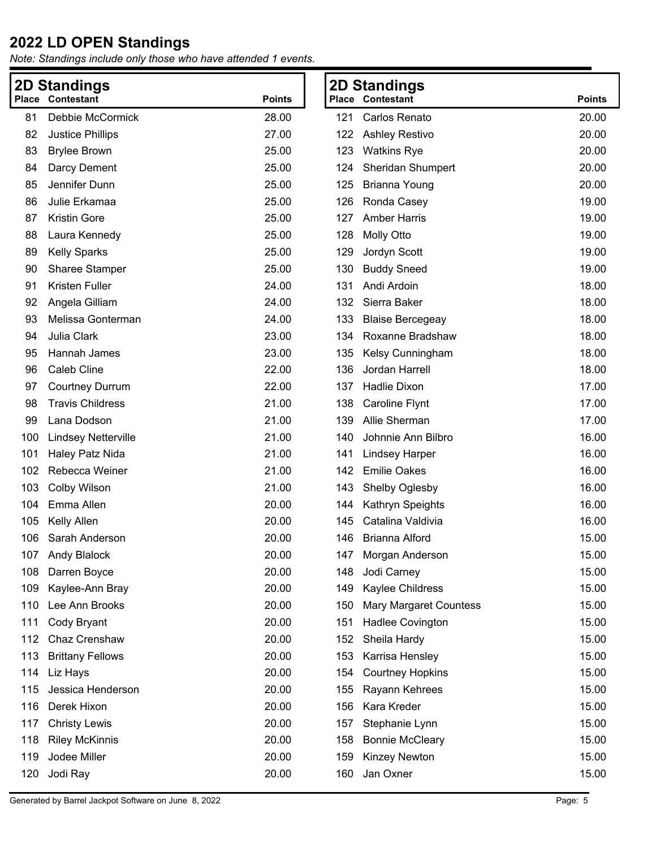|     | <b>2D Standings</b>        |               |     | <b>2D Standings</b>           |               |
|-----|----------------------------|---------------|-----|-------------------------------|---------------|
|     | <b>Place Contestant</b>    | <b>Points</b> |     | <b>Place Contestant</b>       | <b>Points</b> |
| 81  | Debbie McCormick           | 28.00         | 121 | Carlos Renato                 | 20.00         |
| 82  | <b>Justice Phillips</b>    | 27.00         | 122 | <b>Ashley Restivo</b>         | 20.00         |
| 83  | <b>Brylee Brown</b>        | 25.00         | 123 | <b>Watkins Rye</b>            | 20.00         |
| 84  | Darcy Dement               | 25.00         | 124 | <b>Sheridan Shumpert</b>      | 20.00         |
| 85  | Jennifer Dunn              | 25.00         | 125 | <b>Brianna Young</b>          | 20.00         |
| 86  | Julie Erkamaa              | 25.00         | 126 | Ronda Casey                   | 19.00         |
| 87  | <b>Kristin Gore</b>        | 25.00         | 127 | <b>Amber Harris</b>           | 19.00         |
| 88  | Laura Kennedy              | 25.00         | 128 | <b>Molly Otto</b>             | 19.00         |
| 89  | <b>Kelly Sparks</b>        | 25.00         | 129 | Jordyn Scott                  | 19.00         |
| 90  | <b>Sharee Stamper</b>      | 25.00         | 130 | <b>Buddy Sneed</b>            | 19.00         |
| 91  | Kristen Fuller             | 24.00         | 131 | Andi Ardoin                   | 18.00         |
| 92  | Angela Gilliam             | 24.00         | 132 | Sierra Baker                  | 18.00         |
| 93  | Melissa Gonterman          | 24.00         | 133 | <b>Blaise Bercegeay</b>       | 18.00         |
| 94  | Julia Clark                | 23.00         | 134 | Roxanne Bradshaw              | 18.00         |
| 95  | Hannah James               | 23.00         | 135 | Kelsy Cunningham              | 18.00         |
| 96  | Caleb Cline                | 22.00         | 136 | Jordan Harrell                | 18.00         |
| 97  | <b>Courtney Durrum</b>     | 22.00         | 137 | Hadlie Dixon                  | 17.00         |
| 98  | <b>Travis Childress</b>    | 21.00         | 138 | Caroline Flynt                | 17.00         |
| 99  | Lana Dodson                | 21.00         | 139 | Allie Sherman                 | 17.00         |
| 100 | <b>Lindsey Netterville</b> | 21.00         | 140 | Johnnie Ann Bilbro            | 16.00         |
| 101 | Haley Patz Nida            | 21.00         | 141 | <b>Lindsey Harper</b>         | 16.00         |
| 102 | Rebecca Weiner             | 21.00         | 142 | <b>Emilie Oakes</b>           | 16.00         |
| 103 | Colby Wilson               | 21.00         | 143 | Shelby Oglesby                | 16.00         |
| 104 | Emma Allen                 | 20.00         | 144 | Kathryn Speights              | 16.00         |
| 105 | Kelly Allen                | 20.00         | 145 | Catalina Valdivia             | 16.00         |
| 106 | Sarah Anderson             | 20.00         | 146 | <b>Brianna Alford</b>         | 15.00         |
| 107 | <b>Andy Blalock</b>        | 20.00         |     | 147 Morgan Anderson           | 15.00         |
| 108 | Darren Boyce               | 20.00         | 148 | Jodi Carney                   | 15.00         |
| 109 | Kaylee-Ann Bray            | 20.00         | 149 | Kaylee Childress              | 15.00         |
| 110 | Lee Ann Brooks             | 20.00         | 150 | <b>Mary Margaret Countess</b> | 15.00         |
| 111 | Cody Bryant                | 20.00         | 151 | Hadlee Covington              | 15.00         |
| 112 | Chaz Crenshaw              | 20.00         | 152 | Sheila Hardy                  | 15.00         |
| 113 | <b>Brittany Fellows</b>    | 20.00         | 153 | Karrisa Hensley               | 15.00         |
| 114 | Liz Hays                   | 20.00         | 154 | <b>Courtney Hopkins</b>       | 15.00         |
| 115 | Jessica Henderson          | 20.00         | 155 | Rayann Kehrees                | 15.00         |
| 116 | Derek Hixon                | 20.00         | 156 | Kara Kreder                   | 15.00         |
| 117 | <b>Christy Lewis</b>       | 20.00         | 157 | Stephanie Lynn                | 15.00         |
| 118 | <b>Riley McKinnis</b>      | 20.00         | 158 | <b>Bonnie McCleary</b>        | 15.00         |
| 119 | Jodee Miller               | 20.00         | 159 | Kinzey Newton                 | 15.00         |
| 120 | Jodi Ray                   | 20.00         | 160 | Jan Oxner                     | 15.00         |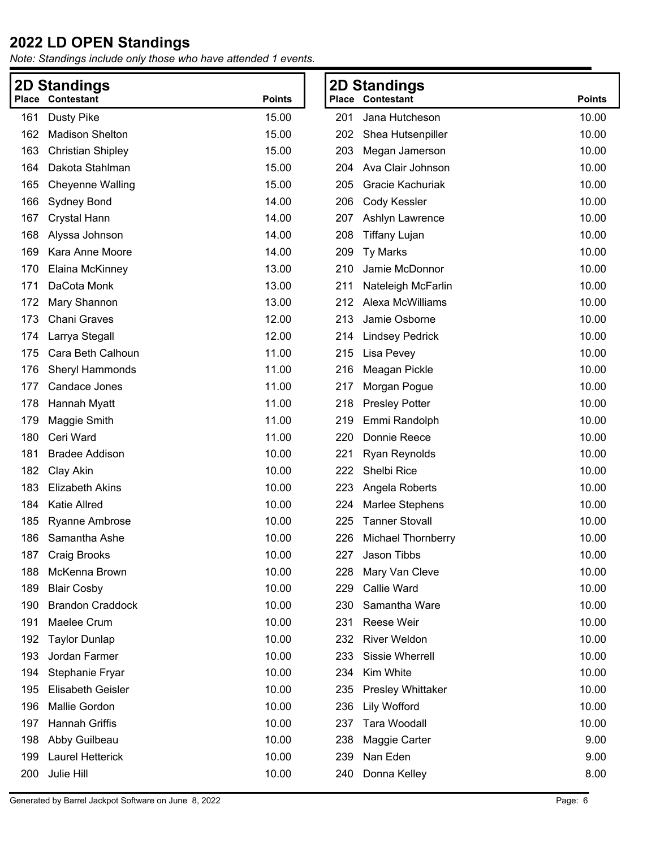|     | <b>2D Standings</b>      |               |     | <b>2D Standings</b>      |               |
|-----|--------------------------|---------------|-----|--------------------------|---------------|
|     | <b>Place Contestant</b>  | <b>Points</b> |     | <b>Place Contestant</b>  | <b>Points</b> |
| 161 | <b>Dusty Pike</b>        | 15.00         | 201 | Jana Hutcheson           | 10.00         |
| 162 | <b>Madison Shelton</b>   | 15.00         | 202 | Shea Hutsenpiller        | 10.00         |
| 163 | <b>Christian Shipley</b> | 15.00         | 203 | Megan Jamerson           | 10.00         |
| 164 | Dakota Stahlman          | 15.00         | 204 | Ava Clair Johnson        | 10.00         |
| 165 | <b>Cheyenne Walling</b>  | 15.00         | 205 | Gracie Kachuriak         | 10.00         |
| 166 | Sydney Bond              | 14.00         | 206 | Cody Kessler             | 10.00         |
| 167 | <b>Crystal Hann</b>      | 14.00         | 207 | Ashlyn Lawrence          | 10.00         |
| 168 | Alyssa Johnson           | 14.00         | 208 | <b>Tiffany Lujan</b>     | 10.00         |
| 169 | Kara Anne Moore          | 14.00         | 209 | <b>Ty Marks</b>          | 10.00         |
| 170 | Elaina McKinney          | 13.00         | 210 | Jamie McDonnor           | 10.00         |
| 171 | DaCota Monk              | 13.00         | 211 | Nateleigh McFarlin       | 10.00         |
| 172 | Mary Shannon             | 13.00         | 212 | Alexa McWilliams         | 10.00         |
| 173 | <b>Chani Graves</b>      | 12.00         | 213 | Jamie Osborne            | 10.00         |
| 174 | Larrya Stegall           | 12.00         | 214 | <b>Lindsey Pedrick</b>   | 10.00         |
| 175 | Cara Beth Calhoun        | 11.00         | 215 | Lisa Pevey               | 10.00         |
| 176 | Sheryl Hammonds          | 11.00         | 216 | Meagan Pickle            | 10.00         |
| 177 | Candace Jones            | 11.00         | 217 | Morgan Pogue             | 10.00         |
| 178 | Hannah Myatt             | 11.00         | 218 | <b>Presley Potter</b>    | 10.00         |
| 179 | Maggie Smith             | 11.00         | 219 | Emmi Randolph            | 10.00         |
| 180 | Ceri Ward                | 11.00         | 220 | Donnie Reece             | 10.00         |
| 181 | <b>Bradee Addison</b>    | 10.00         | 221 | <b>Ryan Reynolds</b>     | 10.00         |
| 182 | Clay Akin                | 10.00         | 222 | Shelbi Rice              | 10.00         |
| 183 | <b>Elizabeth Akins</b>   | 10.00         | 223 | Angela Roberts           | 10.00         |
| 184 | <b>Katie Allred</b>      | 10.00         | 224 | <b>Marlee Stephens</b>   | 10.00         |
| 185 | <b>Ryanne Ambrose</b>    | 10.00         | 225 | <b>Tanner Stovall</b>    | 10.00         |
| 186 | Samantha Ashe            | 10.00         | 226 | Michael Thornberry       | 10.00         |
| 187 | <b>Craig Brooks</b>      | 10.00         | 227 | Jason Tibbs              | 10.00         |
| 188 | McKenna Brown            | 10.00         | 228 | Mary Van Cleve           | 10.00         |
| 189 | <b>Blair Cosby</b>       | 10.00         | 229 | <b>Callie Ward</b>       | 10.00         |
| 190 | <b>Brandon Craddock</b>  | 10.00         | 230 | Samantha Ware            | 10.00         |
| 191 | Maelee Crum              | 10.00         | 231 | Reese Weir               | 10.00         |
| 192 | <b>Taylor Dunlap</b>     | 10.00         | 232 | <b>River Weldon</b>      | 10.00         |
| 193 | Jordan Farmer            | 10.00         | 233 | Sissie Wherrell          | 10.00         |
| 194 | Stephanie Fryar          | 10.00         | 234 | Kim White                | 10.00         |
| 195 | <b>Elisabeth Geisler</b> | 10.00         | 235 | <b>Presley Whittaker</b> | 10.00         |
| 196 | Mallie Gordon            | 10.00         | 236 | Lily Wofford             | 10.00         |
| 197 | <b>Hannah Griffis</b>    | 10.00         | 237 | Tara Woodall             | 10.00         |
| 198 | Abby Guilbeau            | 10.00         | 238 | Maggie Carter            | 9.00          |
| 199 | Laurel Hetterick         | 10.00         | 239 | Nan Eden                 | 9.00          |
| 200 | Julie Hill               | 10.00         | 240 | Donna Kelley             | 8.00          |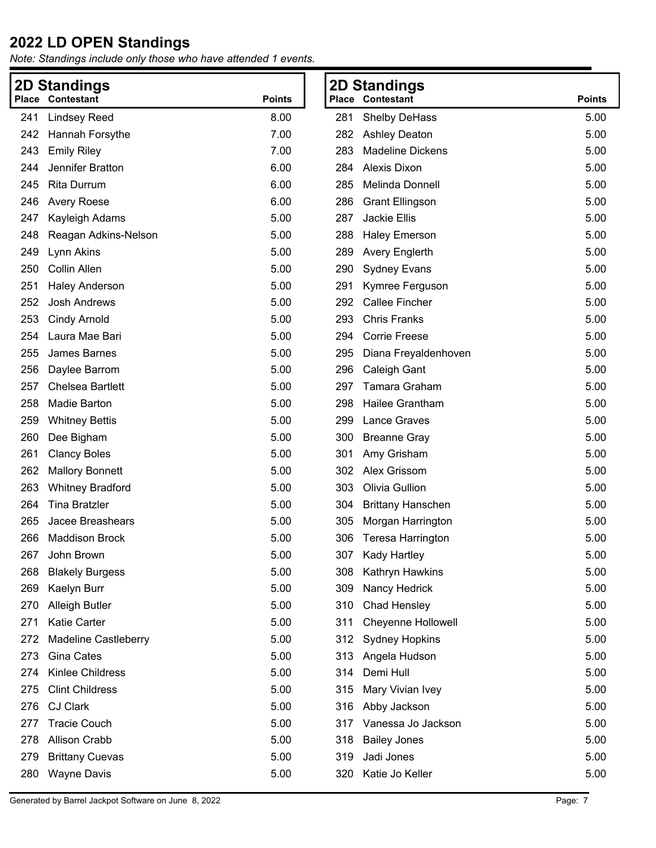| 2D  | <b>Standings</b>            |               |     | <b>2D Standings</b>       |               |
|-----|-----------------------------|---------------|-----|---------------------------|---------------|
|     | <b>Place Contestant</b>     | <b>Points</b> |     | <b>Place Contestant</b>   | <b>Points</b> |
| 241 | <b>Lindsey Reed</b>         | 8.00          | 281 | <b>Shelby DeHass</b>      | 5.00          |
| 242 | Hannah Forsythe             | 7.00          | 282 | <b>Ashley Deaton</b>      | 5.00          |
| 243 | <b>Emily Riley</b>          | 7.00          | 283 | <b>Madeline Dickens</b>   | 5.00          |
| 244 | Jennifer Bratton            | 6.00          | 284 | Alexis Dixon              | 5.00          |
| 245 | <b>Rita Durrum</b>          | 6.00          | 285 | Melinda Donnell           | 5.00          |
| 246 | <b>Avery Roese</b>          | 6.00          | 286 | <b>Grant Ellingson</b>    | 5.00          |
| 247 | Kayleigh Adams              | 5.00          | 287 | <b>Jackie Ellis</b>       | 5.00          |
| 248 | Reagan Adkins-Nelson        | 5.00          | 288 | <b>Haley Emerson</b>      | 5.00          |
| 249 | Lynn Akins                  | 5.00          | 289 | <b>Avery Englerth</b>     | 5.00          |
| 250 | Collin Allen                | 5.00          | 290 | <b>Sydney Evans</b>       | 5.00          |
| 251 | <b>Haley Anderson</b>       | 5.00          | 291 | Kymree Ferguson           | 5.00          |
| 252 | <b>Josh Andrews</b>         | 5.00          | 292 | <b>Callee Fincher</b>     | 5.00          |
| 253 | <b>Cindy Arnold</b>         | 5.00          | 293 | <b>Chris Franks</b>       | 5.00          |
| 254 | Laura Mae Bari              | 5.00          | 294 | <b>Corrie Freese</b>      | 5.00          |
| 255 | <b>James Barnes</b>         | 5.00          | 295 | Diana Freyaldenhoven      | 5.00          |
| 256 | Daylee Barrom               | 5.00          | 296 | Caleigh Gant              | 5.00          |
| 257 | <b>Chelsea Bartlett</b>     | 5.00          | 297 | Tamara Graham             | 5.00          |
| 258 | Madie Barton                | 5.00          | 298 | Hailee Grantham           | 5.00          |
| 259 | <b>Whitney Bettis</b>       | 5.00          | 299 | Lance Graves              | 5.00          |
| 260 | Dee Bigham                  | 5.00          | 300 | <b>Breanne Gray</b>       | 5.00          |
| 261 | <b>Clancy Boles</b>         | 5.00          | 301 | Amy Grisham               | 5.00          |
| 262 | <b>Mallory Bonnett</b>      | 5.00          | 302 | Alex Grissom              | 5.00          |
| 263 | <b>Whitney Bradford</b>     | 5.00          | 303 | Olivia Gullion            | 5.00          |
| 264 | <b>Tina Bratzler</b>        | 5.00          | 304 | <b>Brittany Hanschen</b>  | 5.00          |
| 265 | Jacee Breashears            | 5.00          | 305 | Morgan Harrington         | 5.00          |
| 266 | <b>Maddison Brock</b>       | 5.00          | 306 | Teresa Harrington         | 5.00          |
| 267 | John Brown                  | 5.00          |     | 307 Kady Hartley          | 5.00          |
| 268 | <b>Blakely Burgess</b>      | 5.00          | 308 | Kathryn Hawkins           | 5.00          |
| 269 | Kaelyn Burr                 | 5.00          | 309 | Nancy Hedrick             | 5.00          |
| 270 | <b>Alleigh Butler</b>       | 5.00          | 310 | Chad Hensley              | 5.00          |
| 271 | <b>Katie Carter</b>         | 5.00          | 311 | <b>Cheyenne Hollowell</b> | 5.00          |
| 272 | <b>Madeline Castleberry</b> | 5.00          | 312 | <b>Sydney Hopkins</b>     | 5.00          |
| 273 | <b>Gina Cates</b>           | 5.00          | 313 | Angela Hudson             | 5.00          |
| 274 | Kinlee Childress            | 5.00          | 314 | Demi Hull                 | 5.00          |
| 275 | <b>Clint Childress</b>      | 5.00          | 315 | Mary Vivian Ivey          | 5.00          |
| 276 | <b>CJ Clark</b>             | 5.00          | 316 | Abby Jackson              | 5.00          |
| 277 | <b>Tracie Couch</b>         | 5.00          | 317 | Vanessa Jo Jackson        | 5.00          |
| 278 | <b>Allison Crabb</b>        | 5.00          | 318 | <b>Bailey Jones</b>       | 5.00          |
| 279 | <b>Brittany Cuevas</b>      | 5.00          | 319 | Jadi Jones                | 5.00          |
| 280 | <b>Wayne Davis</b>          | 5.00          | 320 | Katie Jo Keller           | 5.00          |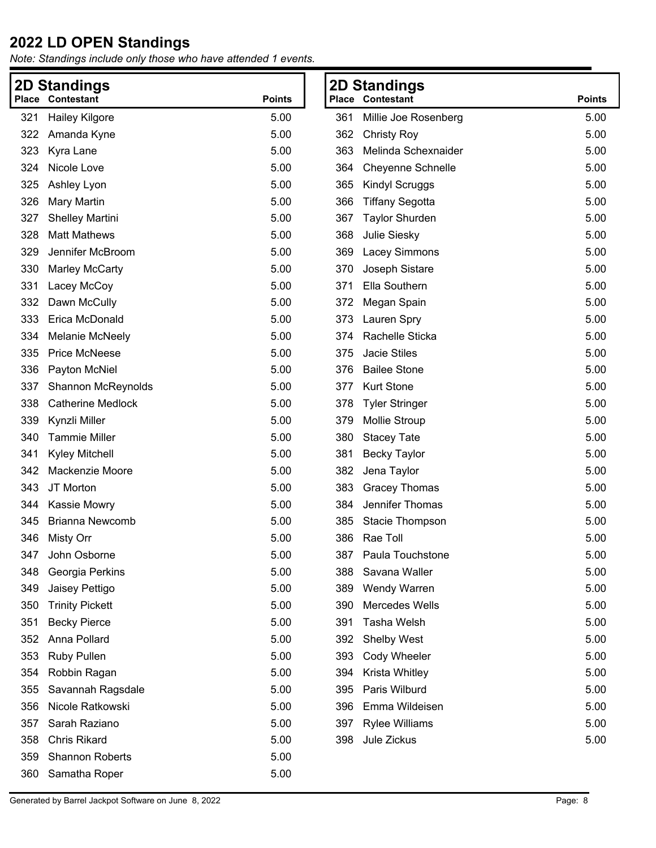*Note: Standings include only those who have attended 1 events.*

| <b>2D Standings</b> |                                          |      |     | <b>2D Standings</b>    |
|---------------------|------------------------------------------|------|-----|------------------------|
|                     | <b>Place Contestant</b><br><b>Points</b> |      |     | Place Contestant       |
| 321                 | <b>Hailey Kilgore</b>                    | 5.00 | 361 | Millie Joe Rosenberg   |
| 322                 | Amanda Kyne                              | 5.00 | 362 | <b>Christy Roy</b>     |
| 323                 | Kyra Lane                                | 5.00 | 363 | Melinda Schexnaider    |
| 324                 | Nicole Love                              | 5.00 | 364 | Cheyenne Schnelle      |
| 325                 | Ashley Lyon                              | 5.00 | 365 | <b>Kindyl Scruggs</b>  |
| 326                 | Mary Martin                              | 5.00 | 366 | <b>Tiffany Segotta</b> |
| 327                 | <b>Shelley Martini</b>                   | 5.00 | 367 | <b>Taylor Shurden</b>  |
| 328                 | <b>Matt Mathews</b>                      | 5.00 | 368 | Julie Siesky           |
| 329                 | Jennifer McBroom                         | 5.00 | 369 | <b>Lacey Simmons</b>   |
| 330                 | Marley McCarty                           | 5.00 | 370 | Joseph Sistare         |
| 331                 | Lacey McCoy                              | 5.00 | 371 | Ella Southern          |
| 332                 | Dawn McCully                             | 5.00 | 372 | Megan Spain            |
| 333                 | Erica McDonald                           | 5.00 | 373 | Lauren Spry            |
| 334                 | <b>Melanie McNeely</b>                   | 5.00 | 374 | Rachelle Sticka        |
| 335                 | <b>Price McNeese</b>                     | 5.00 | 375 | <b>Jacie Stiles</b>    |
| 336                 | Payton McNiel                            | 5.00 | 376 | <b>Bailee Stone</b>    |
| 337                 | Shannon McReynolds                       | 5.00 | 377 | <b>Kurt Stone</b>      |
| 338                 | <b>Catherine Medlock</b>                 | 5.00 | 378 | <b>Tyler Stringer</b>  |
| 339                 | Kynzli Miller                            | 5.00 | 379 | <b>Mollie Stroup</b>   |
| 340                 | <b>Tammie Miller</b>                     | 5.00 | 380 | <b>Stacey Tate</b>     |
| 341                 | <b>Kyley Mitchell</b>                    | 5.00 | 381 | <b>Becky Taylor</b>    |
| 342                 | Mackenzie Moore                          | 5.00 | 382 | Jena Taylor            |
| 343                 | JT Morton                                | 5.00 | 383 | <b>Gracey Thomas</b>   |
| 344                 | Kassie Mowry                             | 5.00 | 384 | Jennifer Thomas        |
| 345                 | <b>Brianna Newcomb</b>                   | 5.00 | 385 | Stacie Thompson        |
| 346                 | <b>Misty Orr</b>                         | 5.00 | 386 | Rae Toll               |
| 347                 | John Osborne                             | 5.00 | 387 | Paula Touchstone       |
| 348                 | Georgia Perkins                          | 5.00 | 388 | Savana Waller          |
| 349                 | Jaisey Pettigo                           | 5.00 | 389 | Wendy Warren           |
| 350                 | <b>Trinity Pickett</b>                   | 5.00 | 390 | Mercedes Wells         |
| 351                 | <b>Becky Pierce</b>                      | 5.00 | 391 | Tasha Welsh            |
| 352                 | Anna Pollard                             | 5.00 | 392 | <b>Shelby West</b>     |
| 353                 | <b>Ruby Pullen</b>                       | 5.00 | 393 | <b>Cody Wheeler</b>    |
| 354                 | Robbin Ragan                             | 5.00 | 394 | Krista Whitley         |
| 355                 | Savannah Ragsdale                        | 5.00 | 395 | Paris Wilburd          |
| 356                 | Nicole Ratkowski                         | 5.00 | 396 | Emma Wildeisen         |
| 357                 | Sarah Raziano                            | 5.00 | 397 | <b>Rylee Williams</b>  |
| 358                 | <b>Chris Rikard</b>                      | 5.00 | 398 | Jule Zickus            |
| 359                 | <b>Shannon Roberts</b>                   | 5.00 |     |                        |
| 360                 | Samatha Roper                            | 5.00 |     |                        |
|                     |                                          |      |     |                        |

**Points** 361 Millie Joe Rosenberg 6.00 362 Christy Roy 5.00 363 Melinda Schexnaider 5.00 364 Cheyenne Schnelle 5.00 365 Kindyl Scruggs 5.00 366 Tiffany Segotta 5.00 367 Taylor Shurden 5.00 368 Julie Siesky 5.00 369 Lacey Simmons 5.00 370 Joseph Sistare 5.00 371 Ella Southern 5.00 372 Megan Spain 5.00 373 Lauren Spry 5.00 374 Rachelle Sticka 5.00 375 Jacie Stiles 5.00 376 Bailee Stone 5.00 377 Kurt Stone 5.00 378 Tyler Stringer 5.00 379 Mollie Stroup 5.00 380 Stacey Tate 5.00 381 Becky Taylor 5.00 382 Jena Taylor 5.00 383 Gracey Thomas 5.00 384 Jennifer Thomas 5.00 385 Stacie Thompson 5.00 386 Rae Toll 5.00 387 Paula Touchstone 6.00 388 Savana Waller 5.00 389 Wendy Warren 5.00 390 Mercedes Wells 5.00 391 Tasha Welsh 5.00 392 Shelby West 5.00 393 Cody Wheeler 5.00 394 Krista Whitley 5.00 395 Paris Wilburd 5.00 396 Emma Wildeisen 5.00 397 Rylee Williams 5.00 398 Jule Zickus 5.00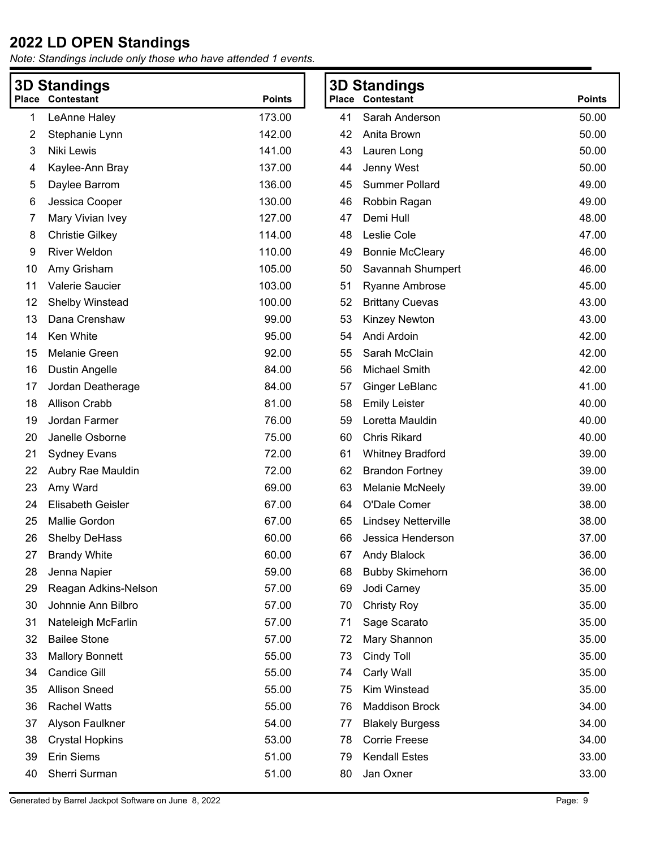|    | <b>3D Standings</b>      |               |    | <b>3D Standings</b>     |               |
|----|--------------------------|---------------|----|-------------------------|---------------|
|    | <b>Place Contestant</b>  | <b>Points</b> |    | <b>Place Contestant</b> | <b>Points</b> |
| 1  | LeAnne Haley             | 173.00        | 41 | Sarah Anderson          | 50.00         |
| 2  | Stephanie Lynn           | 142.00        | 42 | Anita Brown             | 50.00         |
| 3  | Niki Lewis               | 141.00        | 43 | Lauren Long             | 50.00         |
| 4  | Kaylee-Ann Bray          | 137.00        | 44 | Jenny West              | 50.00         |
| 5  | Daylee Barrom            | 136.00        | 45 | <b>Summer Pollard</b>   | 49.00         |
| 6  | Jessica Cooper           | 130.00        | 46 | Robbin Ragan            | 49.00         |
| 7  | Mary Vivian Ivey         | 127.00        | 47 | Demi Hull               | 48.00         |
| 8  | <b>Christie Gilkey</b>   | 114.00        | 48 | Leslie Cole             | 47.00         |
| 9  | <b>River Weldon</b>      | 110.00        | 49 | <b>Bonnie McCleary</b>  | 46.00         |
| 10 | Amy Grisham              | 105.00        | 50 | Savannah Shumpert       | 46.00         |
| 11 | Valerie Saucier          | 103.00        | 51 | <b>Ryanne Ambrose</b>   | 45.00         |
| 12 | Shelby Winstead          | 100.00        | 52 | <b>Brittany Cuevas</b>  | 43.00         |
| 13 | Dana Crenshaw            | 99.00         | 53 | Kinzey Newton           | 43.00         |
| 14 | Ken White                | 95.00         | 54 | Andi Ardoin             | 42.00         |
| 15 | <b>Melanie Green</b>     | 92.00         | 55 | Sarah McClain           | 42.00         |
| 16 | <b>Dustin Angelle</b>    | 84.00         | 56 | <b>Michael Smith</b>    | 42.00         |
| 17 | Jordan Deatherage        | 84.00         | 57 | Ginger LeBlanc          | 41.00         |
| 18 | <b>Allison Crabb</b>     | 81.00         | 58 | <b>Emily Leister</b>    | 40.00         |
| 19 | Jordan Farmer            | 76.00         | 59 | Loretta Mauldin         | 40.00         |
| 20 | Janelle Osborne          | 75.00         | 60 | Chris Rikard            | 40.00         |
| 21 | <b>Sydney Evans</b>      | 72.00         | 61 | <b>Whitney Bradford</b> | 39.00         |
| 22 | Aubry Rae Mauldin        | 72.00         | 62 | <b>Brandon Fortney</b>  | 39.00         |
| 23 | Amy Ward                 | 69.00         | 63 | <b>Melanie McNeely</b>  | 39.00         |
| 24 | <b>Elisabeth Geisler</b> | 67.00         | 64 | O'Dale Comer            | 38.00         |
| 25 | <b>Mallie Gordon</b>     | 67.00         | 65 | Lindsey Netterville     | 38.00         |
| 26 | <b>Shelby DeHass</b>     | 60.00         | 66 | Jessica Henderson       | 37.00         |
| 27 | <b>Brandy White</b>      | 60.00         | 67 | Andy Blalock            | 36.00         |
| 28 | Jenna Napier             | 59.00         | 68 | <b>Bubby Skimehorn</b>  | 36.00         |
| 29 | Reagan Adkins-Nelson     | 57.00         | 69 | Jodi Carney             | 35.00         |
| 30 | Johnnie Ann Bilbro       | 57.00         | 70 | <b>Christy Roy</b>      | 35.00         |
| 31 | Nateleigh McFarlin       | 57.00         | 71 | Sage Scarato            | 35.00         |
| 32 | <b>Bailee Stone</b>      | 57.00         | 72 | Mary Shannon            | 35.00         |
| 33 | <b>Mallory Bonnett</b>   | 55.00         | 73 | Cindy Toll              | 35.00         |
| 34 | <b>Candice Gill</b>      | 55.00         | 74 | Carly Wall              | 35.00         |
| 35 | <b>Allison Sneed</b>     | 55.00         | 75 | Kim Winstead            | 35.00         |
| 36 | <b>Rachel Watts</b>      | 55.00         | 76 | <b>Maddison Brock</b>   | 34.00         |
| 37 | Alyson Faulkner          | 54.00         | 77 | <b>Blakely Burgess</b>  | 34.00         |
| 38 | <b>Crystal Hopkins</b>   | 53.00         | 78 | <b>Corrie Freese</b>    | 34.00         |
| 39 | Erin Siems               | 51.00         | 79 | <b>Kendall Estes</b>    | 33.00         |
| 40 | Sherri Surman            | 51.00         | 80 | Jan Oxner               | 33.00         |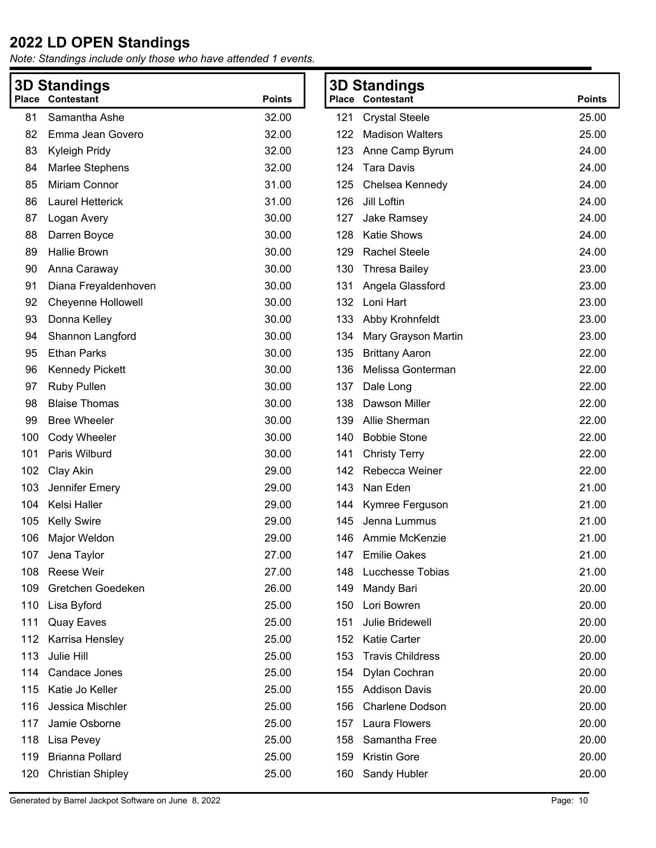|     | <b>3D Standings</b>       |               | <b>3D Standings</b>            |                     |               |
|-----|---------------------------|---------------|--------------------------------|---------------------|---------------|
|     | <b>Place Contestant</b>   | <b>Points</b> | <b>Place Contestant</b>        |                     | <b>Points</b> |
| 81  | Samantha Ashe             | 32.00         | 121<br><b>Crystal Steele</b>   |                     | 25.00         |
| 82  | Emma Jean Govero          | 32.00         | <b>Madison Walters</b><br>122  |                     | 25.00         |
| 83  | Kyleigh Pridy             | 32.00         | 123<br>Anne Camp Byrum         |                     | 24.00         |
| 84  | Marlee Stephens           | 32.00         | <b>Tara Davis</b><br>124       |                     | 24.00         |
| 85  | Miriam Connor             | 31.00         | 125<br>Chelsea Kennedy         |                     | 24.00         |
| 86  | Laurel Hetterick          | 31.00         | Jill Loftin<br>126             |                     | 24.00         |
| 87  | Logan Avery               | 30.00         | 127<br>Jake Ramsey             |                     | 24.00         |
| 88  | Darren Boyce              | 30.00         | <b>Katie Shows</b><br>128      |                     | 24.00         |
| 89  | Hallie Brown              | 30.00         | <b>Rachel Steele</b><br>129    |                     | 24.00         |
| 90  | Anna Caraway              | 30.00         | 130<br><b>Thresa Bailey</b>    |                     | 23.00         |
| 91  | Diana Freyaldenhoven      | 30.00         | 131<br>Angela Glassford        |                     | 23.00         |
| 92  | <b>Cheyenne Hollowell</b> | 30.00         | Loni Hart<br>132               |                     | 23.00         |
| 93  | Donna Kelley              | 30.00         | 133<br>Abby Krohnfeldt         |                     | 23.00         |
| 94  | Shannon Langford          | 30.00         | 134                            | Mary Grayson Martin | 23.00         |
| 95  | <b>Ethan Parks</b>        | 30.00         | 135<br><b>Brittany Aaron</b>   |                     | 22.00         |
| 96  | <b>Kennedy Pickett</b>    | 30.00         | 136<br>Melissa Gonterman       |                     | 22.00         |
| 97  | <b>Ruby Pullen</b>        | 30.00         | 137<br>Dale Long               |                     | 22.00         |
| 98  | <b>Blaise Thomas</b>      | 30.00         | Dawson Miller<br>138           |                     | 22.00         |
| 99  | <b>Bree Wheeler</b>       | 30.00         | Allie Sherman<br>139           |                     | 22.00         |
| 100 | Cody Wheeler              | 30.00         | <b>Bobbie Stone</b><br>140     |                     | 22.00         |
| 101 | Paris Wilburd             | 30.00         | 141<br><b>Christy Terry</b>    |                     | 22.00         |
| 102 | Clay Akin                 | 29.00         | Rebecca Weiner<br>142          |                     | 22.00         |
| 103 | Jennifer Emery            | 29.00         | Nan Eden<br>143                |                     | 21.00         |
| 104 | Kelsi Haller              | 29.00         | Kymree Ferguson<br>144         |                     | 21.00         |
| 105 | <b>Kelly Swire</b>        | 29.00         | 145<br>Jenna Lummus            |                     | 21.00         |
| 106 | Major Weldon              | 29.00         | Ammie McKenzie<br>146          |                     | 21.00         |
| 107 | Jena Taylor               | 27.00         | 147 Emilie Oakes               |                     | 21.00         |
| 108 | Reese Weir                | 27.00         | Lucchesse Tobias<br>148        |                     | 21.00         |
| 109 | Gretchen Goedeken         | 26.00         | 149<br>Mandy Bari              |                     | 20.00         |
| 110 | Lisa Byford               | 25.00         | Lori Bowren<br>150             |                     | 20.00         |
| 111 | <b>Quay Eaves</b>         | 25.00         | Julie Bridewell<br>151         |                     | 20.00         |
| 112 | Karrisa Hensley           | 25.00         | <b>Katie Carter</b><br>152     |                     | 20.00         |
| 113 | Julie Hill                | 25.00         | <b>Travis Childress</b><br>153 |                     | 20.00         |
| 114 | Candace Jones             | 25.00         | Dylan Cochran<br>154           |                     | 20.00         |
| 115 | Katie Jo Keller           | 25.00         | <b>Addison Davis</b><br>155    |                     | 20.00         |
| 116 | Jessica Mischler          | 25.00         | Charlene Dodson<br>156         |                     | 20.00         |
| 117 | Jamie Osborne             | 25.00         | Laura Flowers<br>157           |                     | 20.00         |
| 118 | Lisa Pevey                | 25.00         | Samantha Free<br>158           |                     | 20.00         |
| 119 | <b>Brianna Pollard</b>    | 25.00         | <b>Kristin Gore</b><br>159     |                     | 20.00         |
| 120 | <b>Christian Shipley</b>  | 25.00         | Sandy Hubler<br>160            |                     | 20.00         |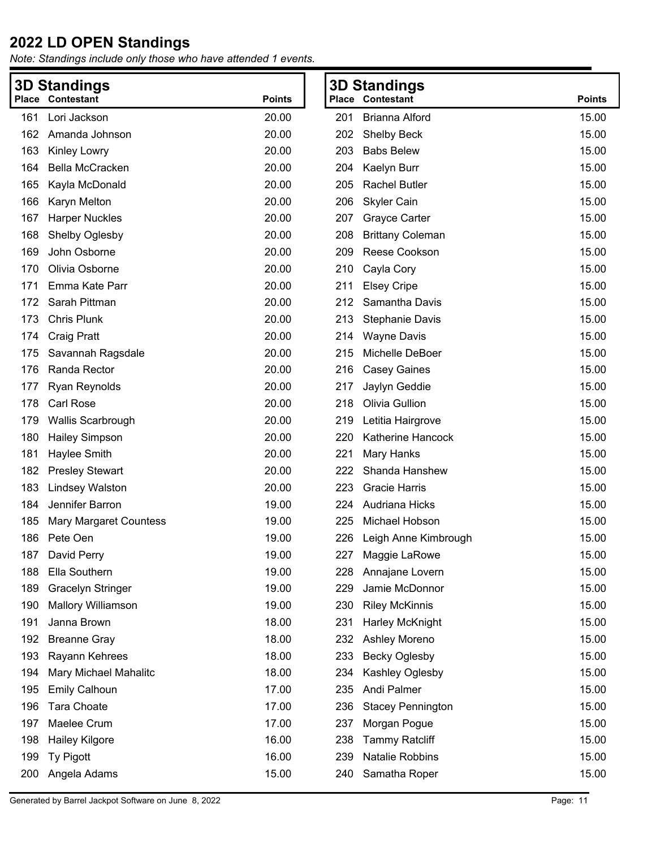| <b>3D Standings</b> |                           |               |     | <b>3D Standings</b>      |               |
|---------------------|---------------------------|---------------|-----|--------------------------|---------------|
|                     | Place Contestant          | <b>Points</b> |     | Place Contestant         | <b>Points</b> |
| 161                 | Lori Jackson              | 20.00         | 201 | <b>Brianna Alford</b>    | 15.00         |
| 162                 | Amanda Johnson            | 20.00         | 202 | <b>Shelby Beck</b>       | 15.00         |
| 163                 | Kinley Lowry              | 20.00         | 203 | <b>Babs Belew</b>        | 15.00         |
| 164                 | Bella McCracken           | 20.00         | 204 | Kaelyn Burr              | 15.00         |
| 165                 | Kayla McDonald            | 20.00         | 205 | Rachel Butler            | 15.00         |
| 166                 | Karyn Melton              | 20.00         | 206 | <b>Skyler Cain</b>       | 15.00         |
| 167                 | <b>Harper Nuckles</b>     | 20.00         | 207 | <b>Grayce Carter</b>     | 15.00         |
| 168                 | Shelby Oglesby            | 20.00         | 208 | <b>Brittany Coleman</b>  | 15.00         |
| 169                 | John Osborne              | 20.00         | 209 | Reese Cookson            | 15.00         |
| 170                 | Olivia Osborne            | 20.00         | 210 | Cayla Cory               | 15.00         |
| 171                 | Emma Kate Parr            | 20.00         | 211 | <b>Elsey Cripe</b>       | 15.00         |
| 172                 | Sarah Pittman             | 20.00         | 212 | Samantha Davis           | 15.00         |
| 173                 | <b>Chris Plunk</b>        | 20.00         | 213 | <b>Stephanie Davis</b>   | 15.00         |
| 174                 | <b>Craig Pratt</b>        | 20.00         | 214 | <b>Wayne Davis</b>       | 15.00         |
| 175                 | Savannah Ragsdale         | 20.00         | 215 | Michelle DeBoer          | 15.00         |
| 176                 | Randa Rector              | 20.00         | 216 | <b>Casey Gaines</b>      | 15.00         |
| 177                 | <b>Ryan Reynolds</b>      | 20.00         | 217 | Jaylyn Geddie            | 15.00         |
| 178                 | Carl Rose                 | 20.00         | 218 | Olivia Gullion           | 15.00         |
| 179                 | Wallis Scarbrough         | 20.00         | 219 | Letitia Hairgrove        | 15.00         |
| 180                 | <b>Hailey Simpson</b>     | 20.00         | 220 | Katherine Hancock        | 15.00         |
| 181                 | Haylee Smith              | 20.00         | 221 | Mary Hanks               | 15.00         |
| 182                 | <b>Presley Stewart</b>    | 20.00         | 222 | Shanda Hanshew           | 15.00         |
| 183                 | <b>Lindsey Walston</b>    | 20.00         | 223 | <b>Gracie Harris</b>     | 15.00         |
| 184                 | Jennifer Barron           | 19.00         | 224 | Audriana Hicks           | 15.00         |
| 185                 | Mary Margaret Countess    | 19.00         | 225 | Michael Hobson           | 15.00         |
| 186                 | Pete Oen                  | 19.00         | 226 | Leigh Anne Kimbrough     | 15.00         |
| 187                 | David Perry               | 19.00         |     | 227 Maggie LaRowe        | 15.00         |
| 188                 | Ella Southern             | 19.00         | 228 | Annajane Lovern          | 15.00         |
| 189                 | <b>Gracelyn Stringer</b>  | 19.00         | 229 | Jamie McDonnor           | 15.00         |
| 190                 | <b>Mallory Williamson</b> | 19.00         | 230 | <b>Riley McKinnis</b>    | 15.00         |
| 191                 | Janna Brown               | 18.00         | 231 | Harley McKnight          | 15.00         |
| 192                 | <b>Breanne Gray</b>       | 18.00         | 232 | Ashley Moreno            | 15.00         |
| 193                 | Rayann Kehrees            | 18.00         | 233 | <b>Becky Oglesby</b>     | 15.00         |
| 194                 | Mary Michael Mahalitc     | 18.00         | 234 | Kashley Oglesby          | 15.00         |
| 195                 | <b>Emily Calhoun</b>      | 17.00         | 235 | Andi Palmer              | 15.00         |
| 196                 | <b>Tara Choate</b>        | 17.00         | 236 | <b>Stacey Pennington</b> | 15.00         |
| 197                 | Maelee Crum               | 17.00         | 237 | Morgan Pogue             | 15.00         |
| 198                 | <b>Hailey Kilgore</b>     | 16.00         | 238 | <b>Tammy Ratcliff</b>    | 15.00         |
| 199                 | Ty Pigott                 | 16.00         | 239 | <b>Natalie Robbins</b>   | 15.00         |
| 200                 | Angela Adams              | 15.00         | 240 | Samatha Roper            | 15.00         |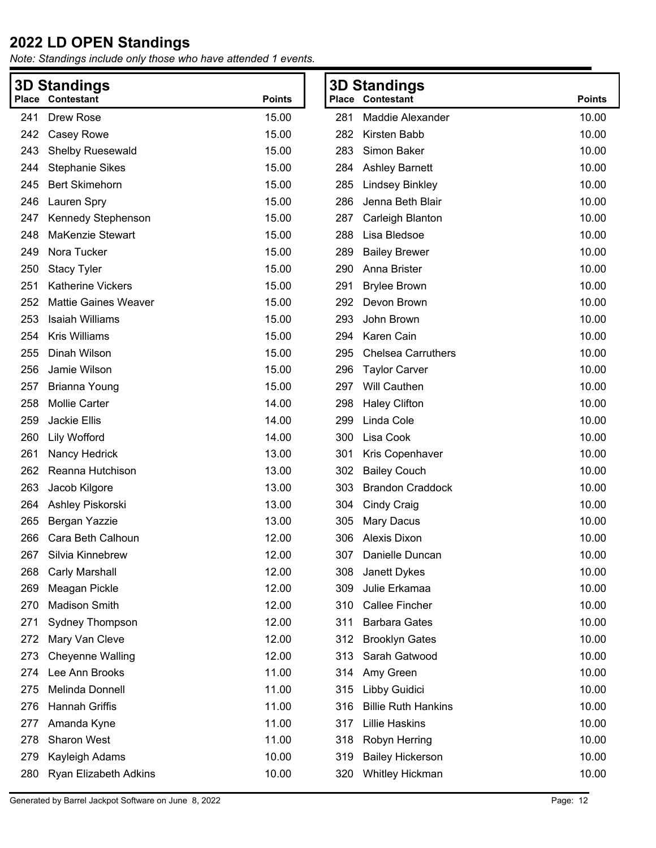| <b>3D Standings</b> |                             |               | <b>3D Standings</b> |                            |               |
|---------------------|-----------------------------|---------------|---------------------|----------------------------|---------------|
|                     | Place Contestant            | <b>Points</b> |                     | <b>Place Contestant</b>    | <b>Points</b> |
| 241                 | Drew Rose                   | 15.00         | 281                 | Maddie Alexander           | 10.00         |
| 242                 | Casey Rowe                  | 15.00         | 282                 | Kirsten Babb               | 10.00         |
| 243                 | <b>Shelby Ruesewald</b>     | 15.00         | 283                 | Simon Baker                | 10.00         |
| 244                 | <b>Stephanie Sikes</b>      | 15.00         | 284                 | <b>Ashley Barnett</b>      | 10.00         |
| 245                 | <b>Bert Skimehorn</b>       | 15.00         | 285                 | <b>Lindsey Binkley</b>     | 10.00         |
| 246                 | Lauren Spry                 | 15.00         | 286                 | Jenna Beth Blair           | 10.00         |
| 247                 | Kennedy Stephenson          | 15.00         | 287                 | Carleigh Blanton           | 10.00         |
| 248                 | <b>MaKenzie Stewart</b>     | 15.00         | 288                 | Lisa Bledsoe               | 10.00         |
| 249                 | Nora Tucker                 | 15.00         | 289                 | <b>Bailey Brewer</b>       | 10.00         |
| 250                 | <b>Stacy Tyler</b>          | 15.00         | 290                 | Anna Brister               | 10.00         |
| 251                 | <b>Katherine Vickers</b>    | 15.00         | 291                 | <b>Brylee Brown</b>        | 10.00         |
| 252                 | <b>Mattie Gaines Weaver</b> | 15.00         | 292                 | Devon Brown                | 10.00         |
| 253                 | <b>Isaiah Williams</b>      | 15.00         | 293                 | John Brown                 | 10.00         |
| 254                 | <b>Kris Williams</b>        | 15.00         | 294                 | Karen Cain                 | 10.00         |
| 255                 | Dinah Wilson                | 15.00         | 295                 | <b>Chelsea Carruthers</b>  | 10.00         |
| 256                 | Jamie Wilson                | 15.00         | 296                 | <b>Taylor Carver</b>       | 10.00         |
| 257                 | <b>Brianna Young</b>        | 15.00         | 297                 | <b>Will Cauthen</b>        | 10.00         |
| 258                 | <b>Mollie Carter</b>        | 14.00         | 298                 | <b>Haley Clifton</b>       | 10.00         |
| 259                 | Jackie Ellis                | 14.00         | 299                 | Linda Cole                 | 10.00         |
| 260                 | <b>Lily Wofford</b>         | 14.00         | 300                 | Lisa Cook                  | 10.00         |
| 261                 | Nancy Hedrick               | 13.00         | 301                 | Kris Copenhaver            | 10.00         |
| 262                 | Reanna Hutchison            | 13.00         | 302                 | <b>Bailey Couch</b>        | 10.00         |
| 263                 | Jacob Kilgore               | 13.00         | 303                 | <b>Brandon Craddock</b>    | 10.00         |
| 264                 | Ashley Piskorski            | 13.00         | 304                 | <b>Cindy Craig</b>         | 10.00         |
| 265                 | Bergan Yazzie               | 13.00         | 305                 | <b>Mary Dacus</b>          | 10.00         |
| 266                 | Cara Beth Calhoun           | 12.00         | 306                 | Alexis Dixon               | 10.00         |
| 267                 | Silvia Kinnebrew            | 12.00         | 307                 | Danielle Duncan            | 10.00         |
| 268                 | Carly Marshall              | 12.00         | 308                 | Janett Dykes               | 10.00         |
| 269                 | Meagan Pickle               | 12.00         | 309                 | Julie Erkamaa              | 10.00         |
| 270                 | <b>Madison Smith</b>        | 12.00         | 310                 | <b>Callee Fincher</b>      | 10.00         |
| 271                 | Sydney Thompson             | 12.00         | 311                 | <b>Barbara Gates</b>       | 10.00         |
| 272                 | Mary Van Cleve              | 12.00         | 312                 | <b>Brooklyn Gates</b>      | 10.00         |
| 273                 | <b>Cheyenne Walling</b>     | 12.00         | 313                 | Sarah Gatwood              | 10.00         |
| 274                 | Lee Ann Brooks              | 11.00         | 314                 | Amy Green                  | 10.00         |
| 275                 | Melinda Donnell             | 11.00         | 315                 | Libby Guidici              | 10.00         |
| 276                 | Hannah Griffis              | 11.00         | 316                 | <b>Billie Ruth Hankins</b> | 10.00         |
| 277                 | Amanda Kyne                 | 11.00         | 317                 | <b>Lillie Haskins</b>      | 10.00         |
| 278                 | Sharon West                 | 11.00         | 318                 | Robyn Herring              | 10.00         |
| 279                 | Kayleigh Adams              | 10.00         | 319                 | <b>Bailey Hickerson</b>    | 10.00         |
| 280                 | Ryan Elizabeth Adkins       | 10.00         | 320                 | Whitley Hickman            | 10.00         |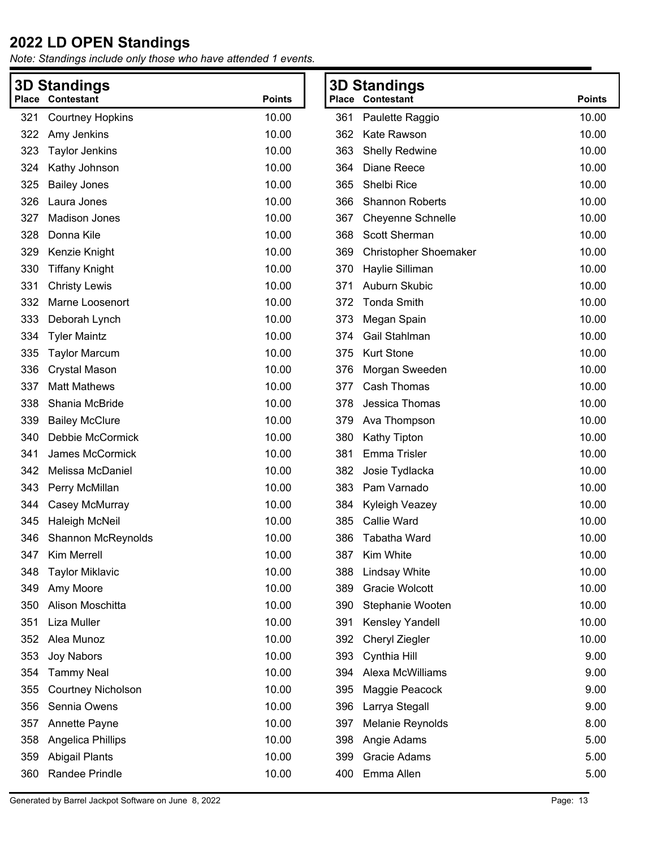| <b>Standings</b><br>3D |                           |               |     | <b>3D Standings</b>          |               |
|------------------------|---------------------------|---------------|-----|------------------------------|---------------|
| Place                  | Contestant                | <b>Points</b> |     | <b>Place Contestant</b>      | <b>Points</b> |
| 321                    | <b>Courtney Hopkins</b>   | 10.00         | 361 | Paulette Raggio              | 10.00         |
| 322                    | Amy Jenkins               | 10.00         | 362 | Kate Rawson                  | 10.00         |
| 323                    | <b>Taylor Jenkins</b>     | 10.00         | 363 | <b>Shelly Redwine</b>        | 10.00         |
| 324                    | Kathy Johnson             | 10.00         | 364 | Diane Reece                  | 10.00         |
| 325                    | <b>Bailey Jones</b>       | 10.00         | 365 | Shelbi Rice                  | 10.00         |
| 326                    | Laura Jones               | 10.00         | 366 | <b>Shannon Roberts</b>       | 10.00         |
| 327                    | <b>Madison Jones</b>      | 10.00         | 367 | <b>Cheyenne Schnelle</b>     | 10.00         |
| 328                    | Donna Kile                | 10.00         | 368 | Scott Sherman                | 10.00         |
| 329                    | Kenzie Knight             | 10.00         | 369 | <b>Christopher Shoemaker</b> | 10.00         |
| 330                    | <b>Tiffany Knight</b>     | 10.00         | 370 | Haylie Silliman              | 10.00         |
| 331                    | <b>Christy Lewis</b>      | 10.00         | 371 | Auburn Skubic                | 10.00         |
| 332                    | Marne Loosenort           | 10.00         | 372 | <b>Tonda Smith</b>           | 10.00         |
| 333                    | Deborah Lynch             | 10.00         | 373 | Megan Spain                  | 10.00         |
| 334                    | <b>Tyler Maintz</b>       | 10.00         | 374 | Gail Stahlman                | 10.00         |
| 335                    | <b>Taylor Marcum</b>      | 10.00         | 375 | <b>Kurt Stone</b>            | 10.00         |
| 336                    | <b>Crystal Mason</b>      | 10.00         | 376 | Morgan Sweeden               | 10.00         |
| 337                    | <b>Matt Mathews</b>       | 10.00         | 377 | Cash Thomas                  | 10.00         |
| 338                    | Shania McBride            | 10.00         | 378 | Jessica Thomas               | 10.00         |
| 339                    | <b>Bailey McClure</b>     | 10.00         | 379 | Ava Thompson                 | 10.00         |
| 340                    | Debbie McCormick          | 10.00         | 380 | Kathy Tipton                 | 10.00         |
| 341                    | James McCormick           | 10.00         | 381 | Emma Trisler                 | 10.00         |
| 342                    | Melissa McDaniel          | 10.00         | 382 | Josie Tydlacka               | 10.00         |
| 343                    | Perry McMillan            | 10.00         | 383 | Pam Varnado                  | 10.00         |
| 344                    | Casey McMurray            | 10.00         | 384 | Kyleigh Veazey               | 10.00         |
| 345                    | Haleigh McNeil            | 10.00         | 385 | Callie Ward                  | 10.00         |
| 346                    | <b>Shannon McReynolds</b> | 10.00         | 386 | Tabatha Ward                 | 10.00         |
| 347                    | Kim Merrell               | 10.00         |     | 387 Kim White                | 10.00         |
| 348                    | <b>Taylor Miklavic</b>    | 10.00         | 388 | <b>Lindsay White</b>         | 10.00         |
| 349                    | Amy Moore                 | 10.00         | 389 | Gracie Wolcott               | 10.00         |
| 350                    | Alison Moschitta          | 10.00         | 390 | Stephanie Wooten             | 10.00         |
| 351                    | Liza Muller               | 10.00         | 391 | Kensley Yandell              | 10.00         |
| 352                    | Alea Munoz                | 10.00         | 392 | Cheryl Ziegler               | 10.00         |
| 353                    | Joy Nabors                | 10.00         | 393 | Cynthia Hill                 | 9.00          |
| 354                    | <b>Tammy Neal</b>         | 10.00         | 394 | Alexa McWilliams             | 9.00          |
| 355                    | <b>Courtney Nicholson</b> | 10.00         | 395 | Maggie Peacock               | 9.00          |
| 356                    | Sennia Owens              | 10.00         | 396 | Larrya Stegall               | 9.00          |
| 357                    | Annette Payne             | 10.00         | 397 | Melanie Reynolds             | 8.00          |
| 358                    | Angelica Phillips         | 10.00         | 398 | Angie Adams                  | 5.00          |
| 359                    | <b>Abigail Plants</b>     | 10.00         | 399 | Gracie Adams                 | 5.00          |
| 360                    | Randee Prindle            | 10.00         | 400 | Emma Allen                   | 5.00          |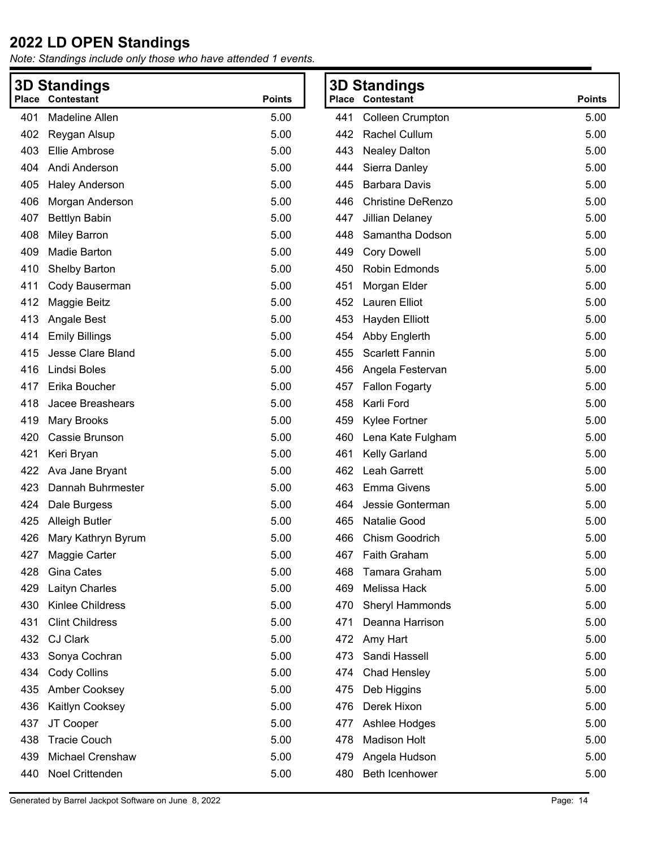*Note: Standings include only those who have attended 1 events.*

| <b>Place</b> | <b>3D Standings</b><br>Contestant | <b>Points</b> |     | <b>3D Standings</b><br><b>Place Contestant</b> | <b>Points</b> |
|--------------|-----------------------------------|---------------|-----|------------------------------------------------|---------------|
| 401          | Madeline Allen                    | 5.00          | 441 | <b>Colleen Crumpton</b>                        | 5.00          |
| 402          | Reygan Alsup                      | 5.00          | 442 | Rachel Cullum                                  | 5.00          |
| 403          | Ellie Ambrose                     | 5.00          | 443 | <b>Nealey Dalton</b>                           | 5.00          |
| 404          | Andi Anderson                     | 5.00          | 444 | Sierra Danley                                  | 5.00          |
| 405          | <b>Haley Anderson</b>             | 5.00          | 445 | <b>Barbara Davis</b>                           | 5.00          |
| 406          | Morgan Anderson                   | 5.00          | 446 | <b>Christine DeRenzo</b>                       | 5.00          |
| 407          | <b>Bettlyn Babin</b>              | 5.00          | 447 | Jillian Delaney                                | 5.00          |
| 408          | <b>Miley Barron</b>               | 5.00          | 448 | Samantha Dodson                                | 5.00          |
| 409          | Madie Barton                      | 5.00          | 449 | <b>Cory Dowell</b>                             | 5.00          |
| 410          | Shelby Barton                     | 5.00          | 450 | Robin Edmonds                                  | 5.00          |
| 411          | Cody Bauserman                    | 5.00          | 451 | Morgan Elder                                   | 5.00          |
| 412          | Maggie Beitz                      | 5.00          | 452 | Lauren Elliot                                  | 5.00          |
| 413          | Angale Best                       | 5.00          | 453 | Hayden Elliott                                 | 5.00          |
| 414          | <b>Emily Billings</b>             | 5.00          | 454 | Abby Englerth                                  | 5.00          |
| 415          | Jesse Clare Bland                 | 5.00          | 455 | <b>Scarlett Fannin</b>                         | 5.00          |
| 416          | Lindsi Boles                      | 5.00          | 456 | Angela Festervan                               | 5.00          |
| 417          | Erika Boucher                     | 5.00          | 457 | <b>Fallon Fogarty</b>                          | 5.00          |
| 418          | Jacee Breashears                  | 5.00          | 458 | Karli Ford                                     | 5.00          |
| 419          | <b>Mary Brooks</b>                | 5.00          | 459 | Kylee Fortner                                  | 5.00          |
| 420          | Cassie Brunson                    | 5.00          | 460 | Lena Kate Fulgham                              | 5.00          |
| 421          | Keri Bryan                        | 5.00          | 461 | Kelly Garland                                  | 5.00          |
| 422          | Ava Jane Bryant                   | 5.00          | 462 | Leah Garrett                                   | 5.00          |
| 423          | Dannah Buhrmester                 | 5.00          | 463 | <b>Emma Givens</b>                             | 5.00          |
| 424          | Dale Burgess                      | 5.00          | 464 | Jessie Gonterman                               | 5.00          |
| 425          | Alleigh Butler                    | 5.00          | 465 | Natalie Good                                   | 5.00          |
| 426          | Mary Kathryn Byrum                | 5.00          | 466 | Chism Goodrich                                 | 5.00          |
| 427          | Maggie Carter                     | 5.00          | 467 | Faith Graham                                   | 5.00          |
| 428          | Gina Cates                        | 5.00          | 468 | Tamara Graham                                  | 5.00          |
| 429          | Laityn Charles                    | 5.00          | 469 | Melissa Hack                                   | 5.00          |
| 430          | Kinlee Childress                  | 5.00          | 470 | Sheryl Hammonds                                | 5.00          |
| 431          | <b>Clint Childress</b>            | 5.00          | 471 | Deanna Harrison                                | 5.00          |
| 432          | <b>CJ Clark</b>                   | 5.00          | 472 | Amy Hart                                       | 5.00          |
| 433          | Sonya Cochran                     | 5.00          | 473 | Sandi Hassell                                  | 5.00          |
| 434          | <b>Cody Collins</b>               | 5.00          | 474 | <b>Chad Hensley</b>                            | 5.00          |
| 435          | Amber Cooksey                     | 5.00          | 475 | Deb Higgins                                    | 5.00          |
| 436          | Kaitlyn Cooksey                   | 5.00          | 476 | Derek Hixon                                    | 5.00          |
| 437          | JT Cooper                         | 5.00          | 477 | Ashlee Hodges                                  | 5.00          |
| 438          | <b>Tracie Couch</b>               | 5.00          | 478 | <b>Madison Holt</b>                            | 5.00          |
| 439          | Michael Crenshaw                  | 5.00          | 479 | Angela Hudson                                  | 5.00          |
| 440          | Noel Crittenden                   | 5.00          | 480 | Beth Icenhower                                 | 5.00          |

**Points**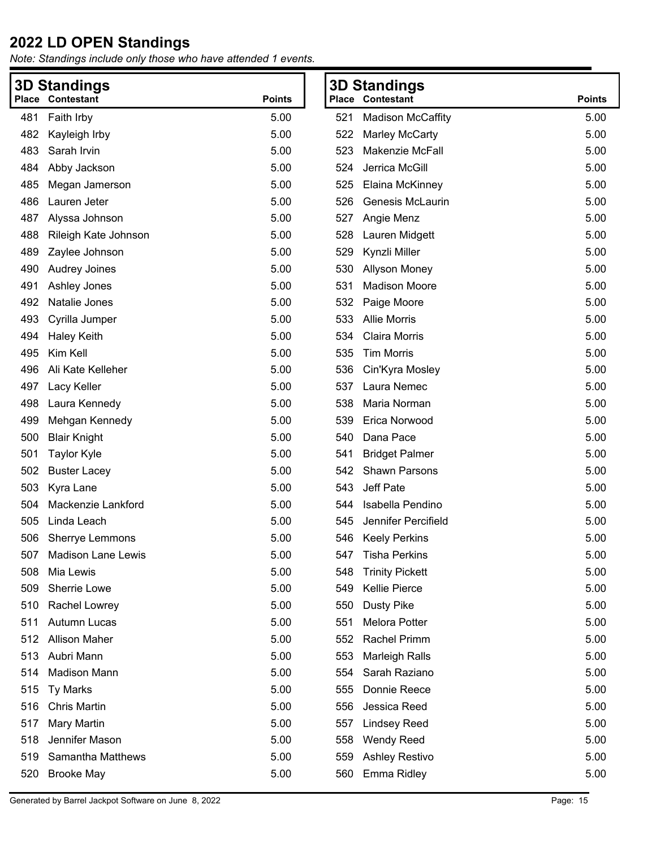|     | <b>3D Standings</b>      |               |     | <b>3D Standings</b>      |               |
|-----|--------------------------|---------------|-----|--------------------------|---------------|
|     | <b>Place Contestant</b>  | <b>Points</b> |     | <b>Place Contestant</b>  | <b>Points</b> |
| 481 | Faith Irby               | 5.00          | 521 | <b>Madison McCaffity</b> | 5.00          |
| 482 | Kayleigh Irby            | 5.00          | 522 | <b>Marley McCarty</b>    | 5.00          |
| 483 | Sarah Irvin              | 5.00          | 523 | Makenzie McFall          | 5.00          |
| 484 | Abby Jackson             | 5.00          | 524 | Jerrica McGill           | 5.00          |
| 485 | Megan Jamerson           | 5.00          | 525 | Elaina McKinney          | 5.00          |
| 486 | Lauren Jeter             | 5.00          | 526 | <b>Genesis McLaurin</b>  | 5.00          |
| 487 | Alyssa Johnson           | 5.00          | 527 | Angie Menz               | 5.00          |
| 488 | Rileigh Kate Johnson     | 5.00          | 528 | Lauren Midgett           | 5.00          |
| 489 | Zaylee Johnson           | 5.00          | 529 | Kynzli Miller            | 5.00          |
| 490 | Audrey Joines            | 5.00          | 530 | <b>Allyson Money</b>     | 5.00          |
| 491 | Ashley Jones             | 5.00          | 531 | <b>Madison Moore</b>     | 5.00          |
| 492 | Natalie Jones            | 5.00          | 532 | Paige Moore              | 5.00          |
| 493 | Cyrilla Jumper           | 5.00          | 533 | <b>Allie Morris</b>      | 5.00          |
| 494 | <b>Haley Keith</b>       | 5.00          | 534 | Claira Morris            | 5.00          |
| 495 | Kim Kell                 | 5.00          | 535 | <b>Tim Morris</b>        | 5.00          |
| 496 | Ali Kate Kelleher        | 5.00          | 536 | Cin'Kyra Mosley          | 5.00          |
| 497 | Lacy Keller              | 5.00          | 537 | Laura Nemec              | 5.00          |
| 498 | Laura Kennedy            | 5.00          | 538 | Maria Norman             | 5.00          |
| 499 | Mehgan Kennedy           | 5.00          | 539 | Erica Norwood            | 5.00          |
| 500 | <b>Blair Knight</b>      | 5.00          | 540 | Dana Pace                | 5.00          |
| 501 | <b>Taylor Kyle</b>       | 5.00          | 541 | <b>Bridget Palmer</b>    | 5.00          |
| 502 | <b>Buster Lacey</b>      | 5.00          | 542 | <b>Shawn Parsons</b>     | 5.00          |
| 503 | Kyra Lane                | 5.00          | 543 | Jeff Pate                | 5.00          |
| 504 | Mackenzie Lankford       | 5.00          | 544 | Isabella Pendino         | 5.00          |
| 505 | Linda Leach              | 5.00          | 545 | Jennifer Percifield      | 5.00          |
| 506 | Sherrye Lemmons          | 5.00          | 546 | <b>Keely Perkins</b>     | 5.00          |
|     | 507 Madison Lane Lewis   | 5.00          |     | 547 Tisha Perkins        | 5.00          |
| 508 | Mia Lewis                | 5.00          | 548 | <b>Trinity Pickett</b>   | 5.00          |
| 509 | Sherrie Lowe             | 5.00          | 549 | <b>Kellie Pierce</b>     | 5.00          |
| 510 | Rachel Lowrey            | 5.00          | 550 | <b>Dusty Pike</b>        | 5.00          |
| 511 | Autumn Lucas             | 5.00          | 551 | Melora Potter            | 5.00          |
| 512 | <b>Allison Maher</b>     | 5.00          | 552 | <b>Rachel Primm</b>      | 5.00          |
| 513 | Aubri Mann               | 5.00          | 553 | <b>Marleigh Ralls</b>    | 5.00          |
| 514 | <b>Madison Mann</b>      | 5.00          | 554 | Sarah Raziano            | 5.00          |
| 515 | <b>Ty Marks</b>          | 5.00          | 555 | Donnie Reece             | 5.00          |
| 516 | <b>Chris Martin</b>      | 5.00          | 556 | Jessica Reed             | 5.00          |
| 517 | Mary Martin              | 5.00          | 557 | <b>Lindsey Reed</b>      | 5.00          |
| 518 | Jennifer Mason           | 5.00          | 558 | <b>Wendy Reed</b>        | 5.00          |
| 519 | <b>Samantha Matthews</b> | 5.00          | 559 | <b>Ashley Restivo</b>    | 5.00          |
| 520 | <b>Brooke May</b>        | 5.00          | 560 | Emma Ridley              | 5.00          |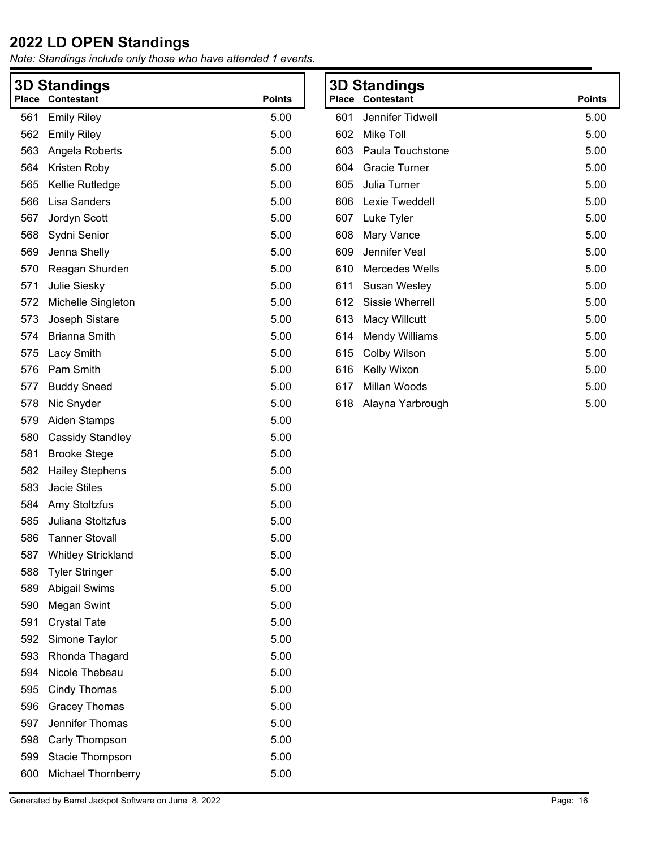| <b>Place</b> | <b>3D Standings</b><br><b>Contestant</b> | <b>Points</b> |
|--------------|------------------------------------------|---------------|
| 561          | <b>Emily Riley</b>                       | 5.00          |
| 562          | <b>Emily Riley</b>                       | 5.00          |
| 563          | Angela Roberts                           | 5.00          |
| 564          | Kristen Roby                             | 5.00          |
| 565          | Kellie Rutledge                          | 5.00          |
| 566          | Lisa Sanders                             | 5.00          |
| 567          | Jordyn Scott                             | 5.00          |
|              |                                          |               |
| 568          | Sydni Senior                             | 5.00          |
| 569          | Jenna Shelly                             | 5.00          |
| 570          | Reagan Shurden                           | 5.00          |
| 571          | Julie Siesky                             | 5.00<br>5.00  |
| 572<br>573   | Michelle Singleton                       | 5.00          |
|              | Joseph Sistare                           |               |
| 574          | <b>Brianna Smith</b>                     | 5.00          |
| 575          | Lacy Smith                               | 5.00          |
| 576          | Pam Smith                                | 5.00          |
| 577          | <b>Buddy Sneed</b>                       | 5.00          |
| 578          | Nic Snyder                               | 5.00          |
| 579          | <b>Aiden Stamps</b>                      | 5.00          |
| 580          | <b>Cassidy Standley</b>                  | 5.00          |
| 581          | <b>Brooke Stege</b>                      | 5.00          |
| 582          | <b>Hailey Stephens</b>                   | 5.00          |
| 583          | <b>Jacie Stiles</b>                      | 5.00          |
| 584          | Amy Stoltzfus                            | 5.00          |
| 585          | Juliana Stoltzfus                        | 5.00          |
| 586          | <b>Tanner Stovall</b>                    | 5.00          |
| 587          | <b>Whitley Strickland</b>                | 5.00          |
| 588          | <b>Tyler Stringer</b>                    | 5.00          |
| 589          | Abigail Swims                            | 5.00          |
| 590          | <b>Megan Swint</b>                       | 5.00          |
| 591          | <b>Crystal Tate</b>                      | 5.00          |
| 592          | Simone Taylor                            | 5.00          |
| 593          | Rhonda Thagard                           | 5.00          |
| 594          | Nicole Thebeau                           | 5.00          |
| 595          | Cindy Thomas                             | 5.00          |
| 596          | <b>Gracey Thomas</b>                     | 5.00          |
| 597          | Jennifer Thomas                          | 5.00          |
| 598          | Carly Thompson                           | 5.00          |
| 599          | Stacie Thompson                          | 5.00          |
| 600          | Michael Thornberry                       | 5.00          |

| Place | 3D Standings<br>Contestant | <b>Points</b> |
|-------|----------------------------|---------------|
|       |                            |               |
| 601   | Jennifer Tidwell           | 5.00          |
| 602   | Mike Toll                  | 5.00          |
| 603   | Paula Touchstone           | 5.00          |
| 604   | Gracie Turner              | 5.00          |
| 605   | Julia Turner               | 5.00          |
| 606   | Lexie Tweddell             | 5.00          |
| 607   | Luke Tyler                 | 5.00          |
| 608   | Mary Vance                 | 5.00          |
| 609   | Jennifer Veal              | 5.00          |
| 610   | Mercedes Wells             | 5.00          |
| 611   | Susan Wesley               | 5.00          |
| 612   | Sissie Wherrell            | 5.00          |
| 613   | Macy Willcutt              | 5.00          |
| 614   | <b>Mendy Williams</b>      | 5.00          |
| 615   | Colby Wilson               | 5.00          |
| 616   | Kelly Wixon                | 5.00          |
| 617   | Millan Woods               | 5.00          |
| 618   | Alayna Yarbrough           | 5.00          |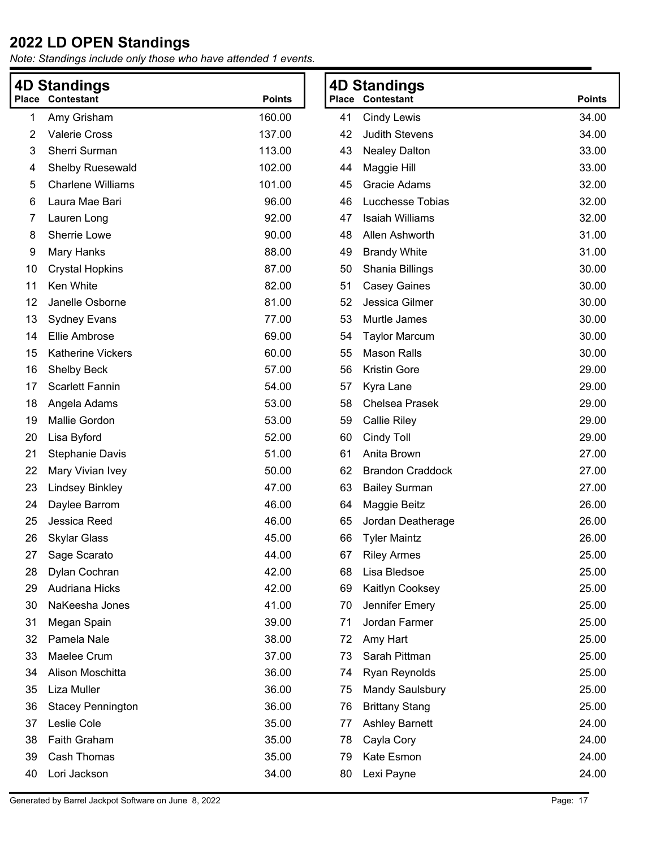| 4D Standings |                          |               | <b>4D Standings</b> |                         |               |
|--------------|--------------------------|---------------|---------------------|-------------------------|---------------|
|              | <b>Place Contestant</b>  | <b>Points</b> |                     | <b>Place Contestant</b> | <b>Points</b> |
| 1            | Amy Grisham              | 160.00        | 41                  | <b>Cindy Lewis</b>      | 34.00         |
| 2            | <b>Valerie Cross</b>     | 137.00        | 42                  | <b>Judith Stevens</b>   | 34.00         |
| 3            | Sherri Surman            | 113.00        | 43                  | <b>Nealey Dalton</b>    | 33.00         |
| 4            | Shelby Ruesewald         | 102.00        | 44                  | Maggie Hill             | 33.00         |
| 5            | <b>Charlene Williams</b> | 101.00        | 45                  | Gracie Adams            | 32.00         |
| 6            | Laura Mae Bari           | 96.00         | 46                  | Lucchesse Tobias        | 32.00         |
| 7            | Lauren Long              | 92.00         | 47                  | Isaiah Williams         | 32.00         |
| 8            | Sherrie Lowe             | 90.00         | 48                  | Allen Ashworth          | 31.00         |
| 9            | Mary Hanks               | 88.00         | 49                  | <b>Brandy White</b>     | 31.00         |
| 10           | <b>Crystal Hopkins</b>   | 87.00         | 50                  | Shania Billings         | 30.00         |
| 11           | Ken White                | 82.00         | 51                  | <b>Casey Gaines</b>     | 30.00         |
| 12           | Janelle Osborne          | 81.00         | 52                  | Jessica Gilmer          | 30.00         |
| 13           | <b>Sydney Evans</b>      | 77.00         | 53                  | Murtle James            | 30.00         |
| 14           | Ellie Ambrose            | 69.00         | 54                  | <b>Taylor Marcum</b>    | 30.00         |
| 15           | <b>Katherine Vickers</b> | 60.00         | 55                  | <b>Mason Ralls</b>      | 30.00         |
| 16           | <b>Shelby Beck</b>       | 57.00         | 56                  | <b>Kristin Gore</b>     | 29.00         |
| 17           | <b>Scarlett Fannin</b>   | 54.00         | 57                  | Kyra Lane               | 29.00         |
| 18           | Angela Adams             | 53.00         | 58                  | <b>Chelsea Prasek</b>   | 29.00         |
| 19           | Mallie Gordon            | 53.00         | 59                  | <b>Callie Riley</b>     | 29.00         |
| 20           | Lisa Byford              | 52.00         | 60                  | Cindy Toll              | 29.00         |
| 21           | <b>Stephanie Davis</b>   | 51.00         | 61                  | Anita Brown             | 27.00         |
| 22           | Mary Vivian Ivey         | 50.00         | 62                  | <b>Brandon Craddock</b> | 27.00         |
| 23           | <b>Lindsey Binkley</b>   | 47.00         | 63                  | <b>Bailey Surman</b>    | 27.00         |
| 24           | Daylee Barrom            | 46.00         | 64                  | Maggie Beitz            | 26.00         |
| 25           | Jessica Reed             | 46.00         | 65                  | Jordan Deatherage       | 26.00         |
| 26           | <b>Skylar Glass</b>      | 45.00         | 66                  | <b>Tyler Maintz</b>     | 26.00         |
| 27           | Sage Scarato             | 44.00         | 67                  | <b>Riley Armes</b>      | 25.00         |
| 28           | Dylan Cochran            | 42.00         | 68                  | Lisa Bledsoe            | 25.00         |
| 29           | Audriana Hicks           | 42.00         | 69                  | Kaitlyn Cooksey         | 25.00         |
| 30           | NaKeesha Jones           | 41.00         | 70                  | Jennifer Emery          | 25.00         |
| 31           | Megan Spain              | 39.00         | 71                  | Jordan Farmer           | 25.00         |
| 32           | Pamela Nale              | 38.00         | 72                  | Amy Hart                | 25.00         |
| 33           | Maelee Crum              | 37.00         | 73                  | Sarah Pittman           | 25.00         |
| 34           | Alison Moschitta         | 36.00         | 74                  | Ryan Reynolds           | 25.00         |
| 35           | Liza Muller              | 36.00         | 75                  | <b>Mandy Saulsbury</b>  | 25.00         |
| 36           | <b>Stacey Pennington</b> | 36.00         | 76                  | <b>Brittany Stang</b>   | 25.00         |
| 37           | Leslie Cole              | 35.00         | 77                  | <b>Ashley Barnett</b>   | 24.00         |
| 38           | Faith Graham             | 35.00         | 78                  | Cayla Cory              | 24.00         |
| 39           | Cash Thomas              | 35.00         | 79                  | Kate Esmon              | 24.00         |
| 40           | Lori Jackson             | 34.00         | 80                  | Lexi Payne              | 24.00         |
|              |                          |               |                     |                         |               |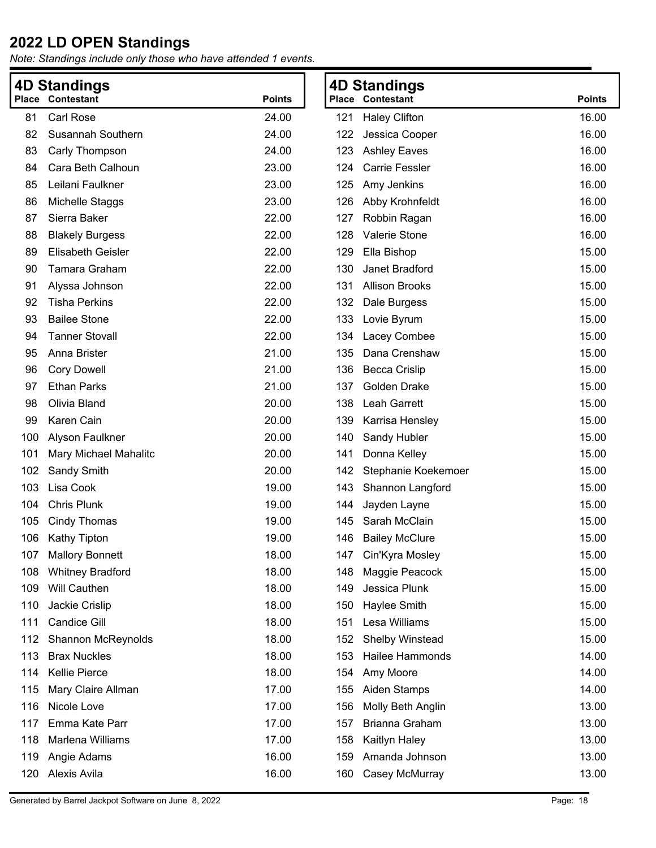| <b>4D Standings</b> |                          |               |     | <b>4D Standings</b>     |               |
|---------------------|--------------------------|---------------|-----|-------------------------|---------------|
| <b>Place</b>        | Contestant               | <b>Points</b> |     | <b>Place Contestant</b> | <b>Points</b> |
| 81                  | Carl Rose                | 24.00         | 121 | <b>Haley Clifton</b>    | 16.00         |
| 82                  | Susannah Southern        | 24.00         | 122 | Jessica Cooper          | 16.00         |
| 83                  | Carly Thompson           | 24.00         | 123 | <b>Ashley Eaves</b>     | 16.00         |
| 84                  | Cara Beth Calhoun        | 23.00         | 124 | <b>Carrie Fessler</b>   | 16.00         |
| 85                  | Leilani Faulkner         | 23.00         | 125 | Amy Jenkins             | 16.00         |
| 86                  | Michelle Staggs          | 23.00         | 126 | Abby Krohnfeldt         | 16.00         |
| 87                  | Sierra Baker             | 22.00         | 127 | Robbin Ragan            | 16.00         |
| 88                  | <b>Blakely Burgess</b>   | 22.00         | 128 | Valerie Stone           | 16.00         |
| 89                  | <b>Elisabeth Geisler</b> | 22.00         | 129 | Ella Bishop             | 15.00         |
| 90                  | Tamara Graham            | 22.00         | 130 | Janet Bradford          | 15.00         |
| 91                  | Alyssa Johnson           | 22.00         | 131 | <b>Allison Brooks</b>   | 15.00         |
| 92                  | <b>Tisha Perkins</b>     | 22.00         | 132 | Dale Burgess            | 15.00         |
| 93                  | <b>Bailee Stone</b>      | 22.00         | 133 | Lovie Byrum             | 15.00         |
| 94                  | <b>Tanner Stovall</b>    | 22.00         | 134 | Lacey Combee            | 15.00         |
| 95                  | Anna Brister             | 21.00         | 135 | Dana Crenshaw           | 15.00         |
| 96                  | <b>Cory Dowell</b>       | 21.00         | 136 | <b>Becca Crislip</b>    | 15.00         |
| 97                  | <b>Ethan Parks</b>       | 21.00         | 137 | Golden Drake            | 15.00         |
| 98                  | Olivia Bland             | 20.00         | 138 | Leah Garrett            | 15.00         |
| 99                  | Karen Cain               | 20.00         | 139 | Karrisa Hensley         | 15.00         |
| 100                 | Alyson Faulkner          | 20.00         | 140 | Sandy Hubler            | 15.00         |
| 101                 | Mary Michael Mahalitc    | 20.00         | 141 | Donna Kelley            | 15.00         |
| 102                 | Sandy Smith              | 20.00         | 142 | Stephanie Koekemoer     | 15.00         |
| 103                 | Lisa Cook                | 19.00         | 143 | Shannon Langford        | 15.00         |
| 104                 | <b>Chris Plunk</b>       | 19.00         | 144 | Jayden Layne            | 15.00         |
| 105                 | <b>Cindy Thomas</b>      | 19.00         | 145 | Sarah McClain           | 15.00         |
| 106                 | Kathy Tipton             | 19.00         | 146 | <b>Bailey McClure</b>   | 15.00         |
| 107                 | <b>Mallory Bonnett</b>   | 18.00         |     | 147 Cin'Kyra Mosley     | 15.00         |
| 108                 | <b>Whitney Bradford</b>  | 18.00         | 148 | Maggie Peacock          | 15.00         |
| 109                 | <b>Will Cauthen</b>      | 18.00         | 149 | Jessica Plunk           | 15.00         |
| 110                 | Jackie Crislip           | 18.00         | 150 | Haylee Smith            | 15.00         |
| 111                 | <b>Candice Gill</b>      | 18.00         | 151 | Lesa Williams           | 15.00         |
| 112                 | Shannon McReynolds       | 18.00         | 152 | Shelby Winstead         | 15.00         |
| 113                 | <b>Brax Nuckles</b>      | 18.00         | 153 | <b>Hailee Hammonds</b>  | 14.00         |
| 114                 | <b>Kellie Pierce</b>     | 18.00         | 154 | Amy Moore               | 14.00         |
| 115                 | Mary Claire Allman       | 17.00         | 155 | Aiden Stamps            | 14.00         |
| 116                 | Nicole Love              | 17.00         | 156 | Molly Beth Anglin       | 13.00         |
| 117                 | Emma Kate Parr           | 17.00         | 157 | Brianna Graham          | 13.00         |
| 118                 | Marlena Williams         | 17.00         | 158 | Kaitlyn Haley           | 13.00         |
| 119                 | Angie Adams              | 16.00         | 159 | Amanda Johnson          | 13.00         |
| 120                 | Alexis Avila             | 16.00         | 160 | Casey McMurray          | 13.00         |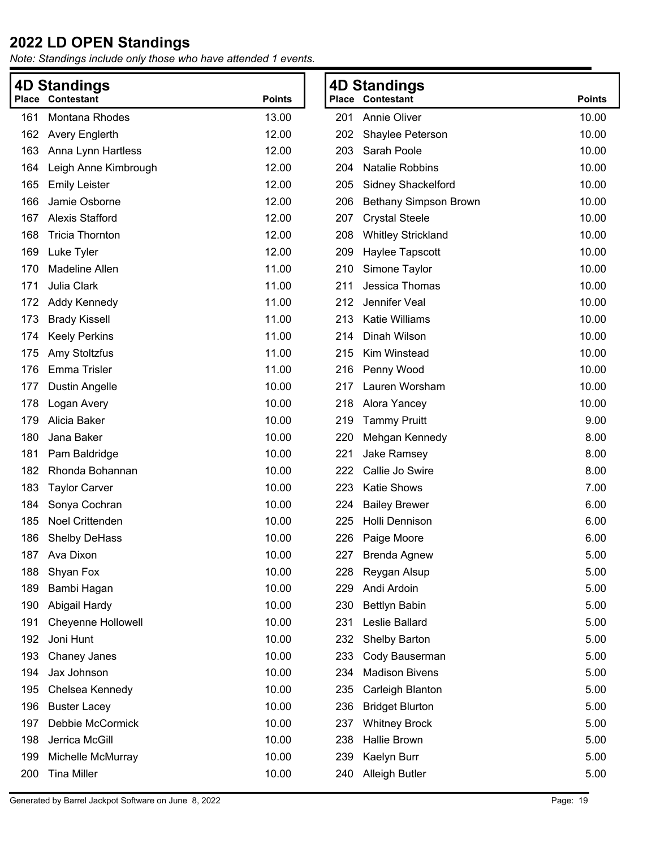|     | <b>4D Standings</b><br><b>4D Standings</b> |               |     |                           |               |
|-----|--------------------------------------------|---------------|-----|---------------------------|---------------|
|     | <b>Place Contestant</b>                    | <b>Points</b> |     | <b>Place Contestant</b>   | <b>Points</b> |
| 161 | Montana Rhodes                             | 13.00         | 201 | <b>Annie Oliver</b>       | 10.00         |
| 162 | <b>Avery Englerth</b>                      | 12.00         | 202 | Shaylee Peterson          | 10.00         |
| 163 | Anna Lynn Hartless                         | 12.00         | 203 | Sarah Poole               | 10.00         |
| 164 | Leigh Anne Kimbrough                       | 12.00         | 204 | Natalie Robbins           | 10.00         |
| 165 | <b>Emily Leister</b>                       | 12.00         | 205 | <b>Sidney Shackelford</b> | 10.00         |
| 166 | Jamie Osborne                              | 12.00         | 206 | Bethany Simpson Brown     | 10.00         |
| 167 | <b>Alexis Stafford</b>                     | 12.00         | 207 | <b>Crystal Steele</b>     | 10.00         |
| 168 | <b>Tricia Thornton</b>                     | 12.00         | 208 | <b>Whitley Strickland</b> | 10.00         |
| 169 | Luke Tyler                                 | 12.00         | 209 | Haylee Tapscott           | 10.00         |
| 170 | <b>Madeline Allen</b>                      | 11.00         | 210 | Simone Taylor             | 10.00         |
| 171 | Julia Clark                                | 11.00         | 211 | Jessica Thomas            | 10.00         |
| 172 | Addy Kennedy                               | 11.00         | 212 | Jennifer Veal             | 10.00         |
| 173 | <b>Brady Kissell</b>                       | 11.00         | 213 | Katie Williams            | 10.00         |
| 174 | <b>Keely Perkins</b>                       | 11.00         | 214 | Dinah Wilson              | 10.00         |
| 175 | Amy Stoltzfus                              | 11.00         | 215 | Kim Winstead              | 10.00         |
| 176 | Emma Trisler                               | 11.00         | 216 | Penny Wood                | 10.00         |
| 177 | <b>Dustin Angelle</b>                      | 10.00         | 217 | Lauren Worsham            | 10.00         |
| 178 | Logan Avery                                | 10.00         | 218 | Alora Yancey              | 10.00         |
| 179 | Alicia Baker                               | 10.00         | 219 | <b>Tammy Pruitt</b>       | 9.00          |
| 180 | Jana Baker                                 | 10.00         | 220 | Mehgan Kennedy            | 8.00          |
| 181 | Pam Baldridge                              | 10.00         | 221 | Jake Ramsey               | 8.00          |
| 182 | Rhonda Bohannan                            | 10.00         | 222 | Callie Jo Swire           | 8.00          |
| 183 | <b>Taylor Carver</b>                       | 10.00         | 223 | <b>Katie Shows</b>        | 7.00          |
| 184 | Sonya Cochran                              | 10.00         | 224 | <b>Bailey Brewer</b>      | 6.00          |
| 185 | Noel Crittenden                            | 10.00         | 225 | Holli Dennison            | 6.00          |
| 186 | <b>Shelby DeHass</b>                       | 10.00         | 226 | Paige Moore               | 6.00          |
| 187 | Ava Dixon                                  | 10.00         | 227 | <b>Brenda Agnew</b>       | 5.00          |
| 188 | Shyan Fox                                  | 10.00         | 228 | Reygan Alsup              | 5.00          |
| 189 | Bambi Hagan                                | 10.00         | 229 | Andi Ardoin               | 5.00          |
| 190 | Abigail Hardy                              | 10.00         | 230 | <b>Bettlyn Babin</b>      | 5.00          |
| 191 | <b>Cheyenne Hollowell</b>                  | 10.00         | 231 | Leslie Ballard            | 5.00          |
| 192 | Joni Hunt                                  | 10.00         | 232 | Shelby Barton             | 5.00          |
| 193 | Chaney Janes                               | 10.00         | 233 | Cody Bauserman            | 5.00          |
| 194 | Jax Johnson                                | 10.00         | 234 | <b>Madison Bivens</b>     | 5.00          |
| 195 | Chelsea Kennedy                            | 10.00         | 235 | Carleigh Blanton          | 5.00          |
| 196 | <b>Buster Lacey</b>                        | 10.00         | 236 | <b>Bridget Blurton</b>    | 5.00          |
| 197 | Debbie McCormick                           | 10.00         | 237 | <b>Whitney Brock</b>      | 5.00          |
| 198 | Jerrica McGill                             | 10.00         | 238 | Hallie Brown              | 5.00          |
| 199 | Michelle McMurray                          | 10.00         | 239 | Kaelyn Burr               | 5.00          |
| 200 | <b>Tina Miller</b>                         | 10.00         | 240 | <b>Alleigh Butler</b>     | 5.00          |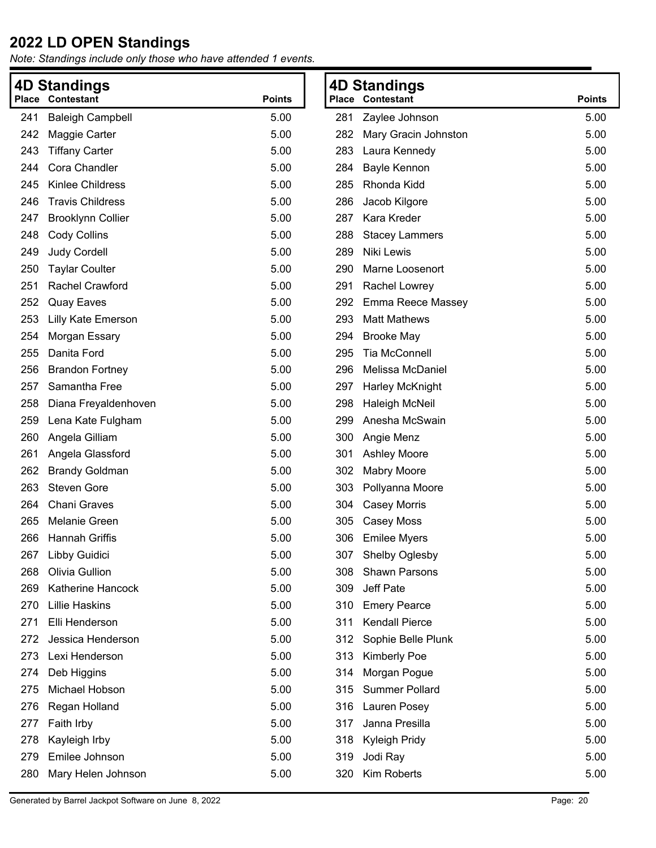*Note: Standings include only those who have attended 1 events.*

|     | <b>4D Standings</b>       |               |     | <b>4D Standings</b>     |               |
|-----|---------------------------|---------------|-----|-------------------------|---------------|
|     | <b>Place Contestant</b>   | <b>Points</b> |     | <b>Place Contestant</b> | <b>Points</b> |
| 241 | <b>Baleigh Campbell</b>   | 5.00          | 281 | Zaylee Johnson          | 5.00          |
| 242 | Maggie Carter             | 5.00          | 282 | Mary Gracin Johnston    | 5.00          |
| 243 | <b>Tiffany Carter</b>     | 5.00          | 283 | Laura Kennedy           | 5.00          |
| 244 | Cora Chandler             | 5.00          | 284 | Bayle Kennon            | 5.00          |
| 245 | Kinlee Childress          | 5.00          | 285 | Rhonda Kidd             | 5.00          |
| 246 | <b>Travis Childress</b>   | 5.00          | 286 | Jacob Kilgore           | 5.00          |
| 247 | <b>Brooklynn Collier</b>  | 5.00          | 287 | Kara Kreder             | 5.00          |
| 248 | <b>Cody Collins</b>       | 5.00          | 288 | <b>Stacey Lammers</b>   | 5.00          |
| 249 | <b>Judy Cordell</b>       | 5.00          | 289 | Niki Lewis              | 5.00          |
| 250 | <b>Taylar Coulter</b>     | 5.00          | 290 | Marne Loosenort         | 5.00          |
| 251 | Rachel Crawford           | 5.00          | 291 | Rachel Lowrey           | 5.00          |
| 252 | <b>Quay Eaves</b>         | 5.00          | 292 | Emma Reece Massey       | 5.00          |
| 253 | <b>Lilly Kate Emerson</b> | 5.00          | 293 | <b>Matt Mathews</b>     | 5.00          |
| 254 | Morgan Essary             | 5.00          | 294 | <b>Brooke May</b>       | 5.00          |
| 255 | Danita Ford               | 5.00          | 295 | <b>Tia McConnell</b>    | 5.00          |
| 256 | <b>Brandon Fortney</b>    | 5.00          | 296 | Melissa McDaniel        | 5.00          |
| 257 | Samantha Free             | 5.00          | 297 | <b>Harley McKnight</b>  | 5.00          |
| 258 | Diana Freyaldenhoven      | 5.00          | 298 | <b>Haleigh McNeil</b>   | 5.00          |
| 259 | Lena Kate Fulgham         | 5.00          | 299 | Anesha McSwain          | 5.00          |
| 260 | Angela Gilliam            | 5.00          | 300 | Angie Menz              | 5.00          |
| 261 | Angela Glassford          | 5.00          | 301 | <b>Ashley Moore</b>     | 5.00          |
| 262 | <b>Brandy Goldman</b>     | 5.00          | 302 | <b>Mabry Moore</b>      | 5.00          |
| 263 | <b>Steven Gore</b>        | 5.00          | 303 | Pollyanna Moore         | 5.00          |
| 264 | <b>Chani Graves</b>       | 5.00          | 304 | <b>Casey Morris</b>     | 5.00          |
| 265 | Melanie Green             | 5.00          | 305 | Casey Moss              | 5.00          |
| 266 | Hannah Griffis            | 5.00          | 306 | <b>Emilee Myers</b>     | 5.00          |
|     | 267 Libby Guidici         | 5.00          | 307 | Shelby Oglesby          | 5.00          |
| 268 | Olivia Gullion            | 5.00          | 308 | <b>Shawn Parsons</b>    | 5.00          |
| 269 | Katherine Hancock         | 5.00          | 309 | Jeff Pate               | 5.00          |
| 270 | <b>Lillie Haskins</b>     | 5.00          | 310 | <b>Emery Pearce</b>     | 5.00          |
| 271 | Elli Henderson            | 5.00          | 311 | <b>Kendall Pierce</b>   | 5.00          |
| 272 | Jessica Henderson         | 5.00          | 312 | Sophie Belle Plunk      | 5.00          |
| 273 | Lexi Henderson            | 5.00          | 313 | Kimberly Poe            | 5.00          |
| 274 | Deb Higgins               | 5.00          | 314 | Morgan Pogue            | 5.00          |
| 275 | Michael Hobson            | 5.00          | 315 | <b>Summer Pollard</b>   | 5.00          |
| 276 | Regan Holland             | 5.00          | 316 | Lauren Posey            | 5.00          |
| 277 | Faith Irby                | 5.00          | 317 | Janna Presilla          | 5.00          |
| 278 | Kayleigh Irby             | 5.00          | 318 | Kyleigh Pridy           | 5.00          |
| 279 | Emilee Johnson            | 5.00          | 319 | Jodi Ray                | 5.00          |
| 280 | Mary Helen Johnson        | 5.00          | 320 | Kim Roberts             | 5.00          |

**Points**